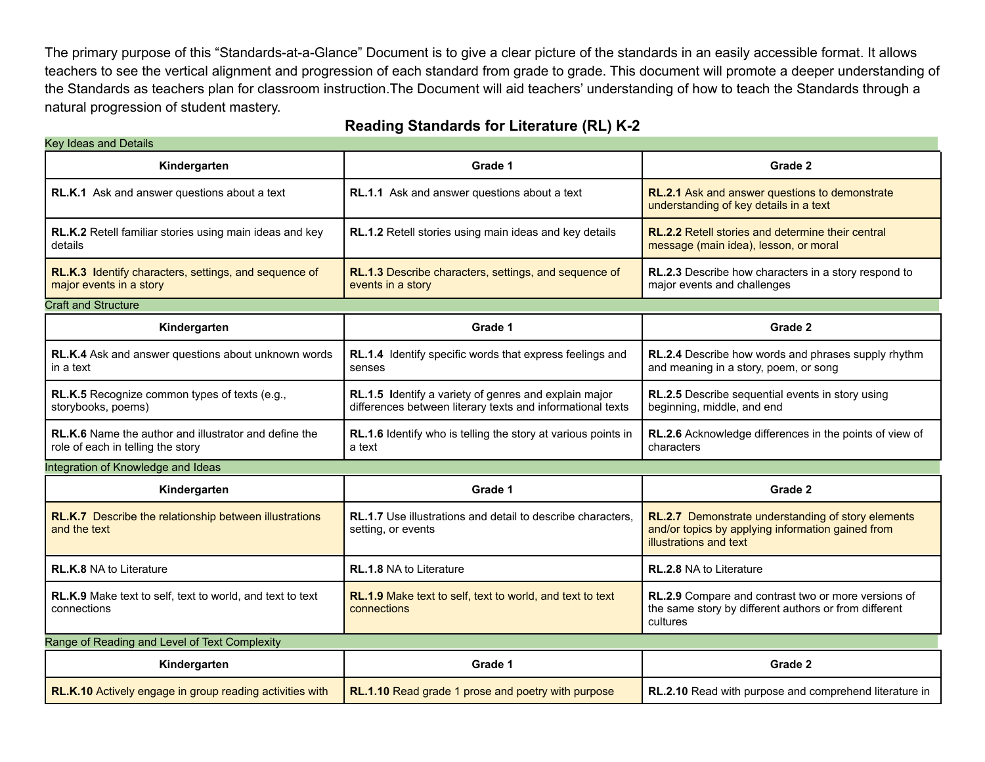The primary purpose of this "Standards-at-a-Glance" Document is to give a clear picture of the standards in an easily accessible format. It allows teachers to see the vertical alignment and progression of each standard from grade to grade. This document will promote a deeper understanding of the Standards as teachers plan for classroom instruction.The Document will aid teachers' understanding of how to teach the Standards through a natural progression of student mastery.

#### **Reading Standards for Literature (RL) K-2**

| Key Ideas and Details                                                                      |                                                                                                                     |                                                                                                                                   |
|--------------------------------------------------------------------------------------------|---------------------------------------------------------------------------------------------------------------------|-----------------------------------------------------------------------------------------------------------------------------------|
| Kindergarten                                                                               | Grade 1                                                                                                             | Grade 2                                                                                                                           |
| RL.K.1 Ask and answer questions about a text                                               | RL.1.1 Ask and answer questions about a text                                                                        | RL.2.1 Ask and answer questions to demonstrate<br>understanding of key details in a text                                          |
| RL.K.2 Retell familiar stories using main ideas and key<br>details                         | RL.1.2 Retell stories using main ideas and key details                                                              | <b>RL.2.2</b> Retell stories and determine their central<br>message (main idea), lesson, or moral                                 |
| RL.K.3 Identify characters, settings, and sequence of<br>major events in a story           | RL.1.3 Describe characters, settings, and sequence of<br>events in a story                                          | RL.2.3 Describe how characters in a story respond to<br>major events and challenges                                               |
| <b>Craft and Structure</b>                                                                 |                                                                                                                     |                                                                                                                                   |
| Kindergarten                                                                               | Grade 1                                                                                                             | Grade 2                                                                                                                           |
| RL.K.4 Ask and answer questions about unknown words<br>in a text                           | RL.1.4 Identify specific words that express feelings and<br>senses                                                  | RL.2.4 Describe how words and phrases supply rhythm<br>and meaning in a story, poem, or song                                      |
| RL.K.5 Recognize common types of texts (e.g.,<br>storybooks, poems)                        | RL.1.5 Identify a variety of genres and explain major<br>differences between literary texts and informational texts | RL.2.5 Describe sequential events in story using<br>beginning, middle, and end                                                    |
| RL.K.6 Name the author and illustrator and define the<br>role of each in telling the story | RL.1.6 Identify who is telling the story at various points in<br>a text                                             | RL.2.6 Acknowledge differences in the points of view of<br>characters                                                             |
| Integration of Knowledge and Ideas                                                         |                                                                                                                     |                                                                                                                                   |
| Kindergarten                                                                               | Grade 1                                                                                                             | Grade 2                                                                                                                           |
| RL.K.7 Describe the relationship between illustrations<br>and the text                     | <b>RL.1.7</b> Use illustrations and detail to describe characters,<br>setting, or events                            | RL.2.7 Demonstrate understanding of story elements<br>and/or topics by applying information gained from<br>illustrations and text |
| <b>RL.K.8 NA to Literature</b>                                                             | <b>RL.1.8 NA to Literature</b>                                                                                      | <b>RL.2.8 NA to Literature</b>                                                                                                    |
| RL.K.9 Make text to self, text to world, and text to text<br>connections                   | RL.1.9 Make text to self, text to world, and text to text<br>connections                                            | RL.2.9 Compare and contrast two or more versions of<br>the same story by different authors or from different<br>cultures          |
| Range of Reading and Level of Text Complexity                                              |                                                                                                                     |                                                                                                                                   |
| Kindergarten                                                                               | Grade 1                                                                                                             | Grade 2                                                                                                                           |
| RL.K.10 Actively engage in group reading activities with                                   | RL.1.10 Read grade 1 prose and poetry with purpose                                                                  | RL.2.10 Read with purpose and comprehend literature in                                                                            |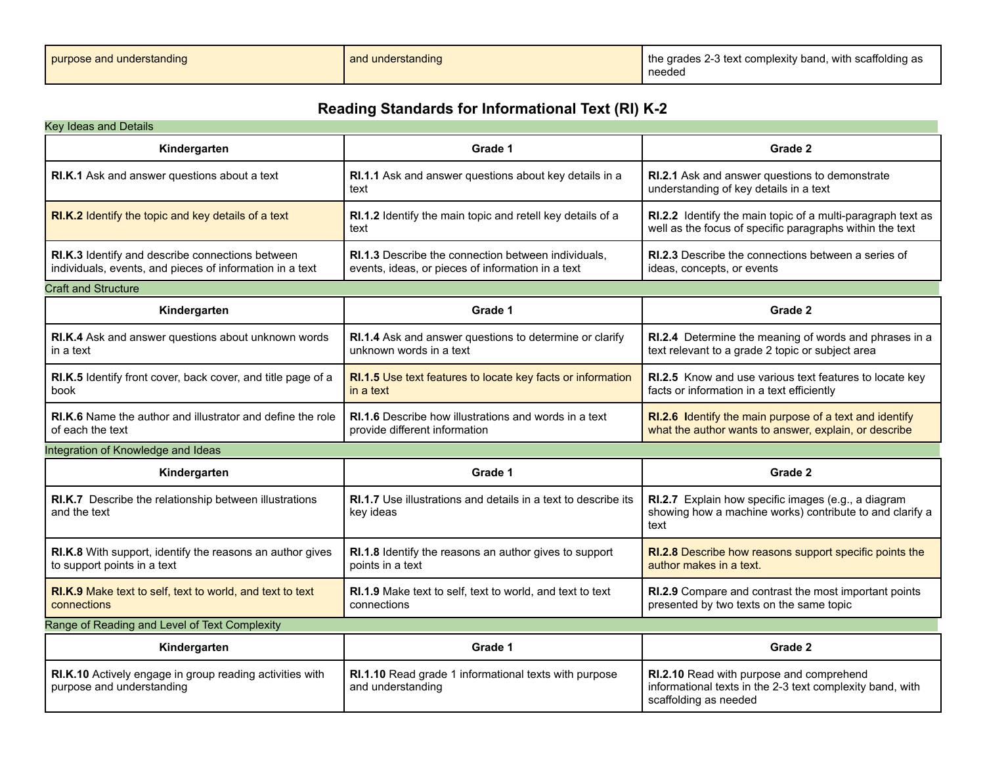| purpose and understanding | and understanding | the grades 2-3 text complexity band, with scaffolding as<br>needec |
|---------------------------|-------------------|--------------------------------------------------------------------|
|---------------------------|-------------------|--------------------------------------------------------------------|

### **Reading Standards for Informational Text (RI) K-2**

| <b>Key Ideas and Details</b>                                                                                 |                                                                                                          |                                                                                                                                |
|--------------------------------------------------------------------------------------------------------------|----------------------------------------------------------------------------------------------------------|--------------------------------------------------------------------------------------------------------------------------------|
| Kindergarten                                                                                                 | Grade 1                                                                                                  | Grade 2                                                                                                                        |
| RI.K.1 Ask and answer questions about a text                                                                 | RI.1.1 Ask and answer questions about key details in a<br>text                                           | RI.2.1 Ask and answer questions to demonstrate<br>understanding of key details in a text                                       |
| RI.K.2 Identify the topic and key details of a text                                                          | RI.1.2 Identify the main topic and retell key details of a<br>text                                       | RI.2.2 Identify the main topic of a multi-paragraph text as<br>well as the focus of specific paragraphs within the text        |
| RI.K.3 Identify and describe connections between<br>individuals, events, and pieces of information in a text | RI.1.3 Describe the connection between individuals,<br>events, ideas, or pieces of information in a text | <b>RI.2.3</b> Describe the connections between a series of<br>ideas, concepts, or events                                       |
| <b>Craft and Structure</b>                                                                                   |                                                                                                          |                                                                                                                                |
| Kindergarten                                                                                                 | Grade 1                                                                                                  | Grade 2                                                                                                                        |
| RI.K.4 Ask and answer questions about unknown words<br>in a text                                             | RI.1.4 Ask and answer questions to determine or clarify<br>unknown words in a text                       | RI.2.4 Determine the meaning of words and phrases in a<br>text relevant to a grade 2 topic or subject area                     |
| RI.K.5 Identify front cover, back cover, and title page of a<br>book                                         | RI.1.5 Use text features to locate key facts or information<br>in a text                                 | RI.2.5 Know and use various text features to locate key<br>facts or information in a text efficiently                          |
| <b>RI.K.6</b> Name the author and illustrator and define the role<br>of each the text                        | <b>RI.1.6</b> Describe how illustrations and words in a text<br>provide different information            | RI.2.6 Identify the main purpose of a text and identify<br>what the author wants to answer, explain, or describe               |
| Integration of Knowledge and Ideas                                                                           |                                                                                                          |                                                                                                                                |
| Kindergarten                                                                                                 | Grade 1                                                                                                  | Grade 2                                                                                                                        |
| RI.K.7 Describe the relationship between illustrations<br>and the text                                       | RI.1.7 Use illustrations and details in a text to describe its<br>key ideas                              | RI.2.7 Explain how specific images (e.g., a diagram<br>showing how a machine works) contribute to and clarify a<br>text        |
| RI.K.8 With support, identify the reasons an author gives<br>to support points in a text                     | RI.1.8 Identify the reasons an author gives to support<br>points in a text                               | RI.2.8 Describe how reasons support specific points the<br>author makes in a text.                                             |
| RI.K.9 Make text to self, text to world, and text to text<br>connections                                     | RI.1.9 Make text to self, text to world, and text to text<br>connections                                 | RI.2.9 Compare and contrast the most important points<br>presented by two texts on the same topic                              |
| Range of Reading and Level of Text Complexity                                                                |                                                                                                          |                                                                                                                                |
| Kindergarten                                                                                                 | Grade 1                                                                                                  | Grade 2                                                                                                                        |
| RI.K.10 Actively engage in group reading activities with<br>purpose and understanding                        | RI.1.10 Read grade 1 informational texts with purpose<br>and understanding                               | RI.2.10 Read with purpose and comprehend<br>informational texts in the 2-3 text complexity band, with<br>scaffolding as needed |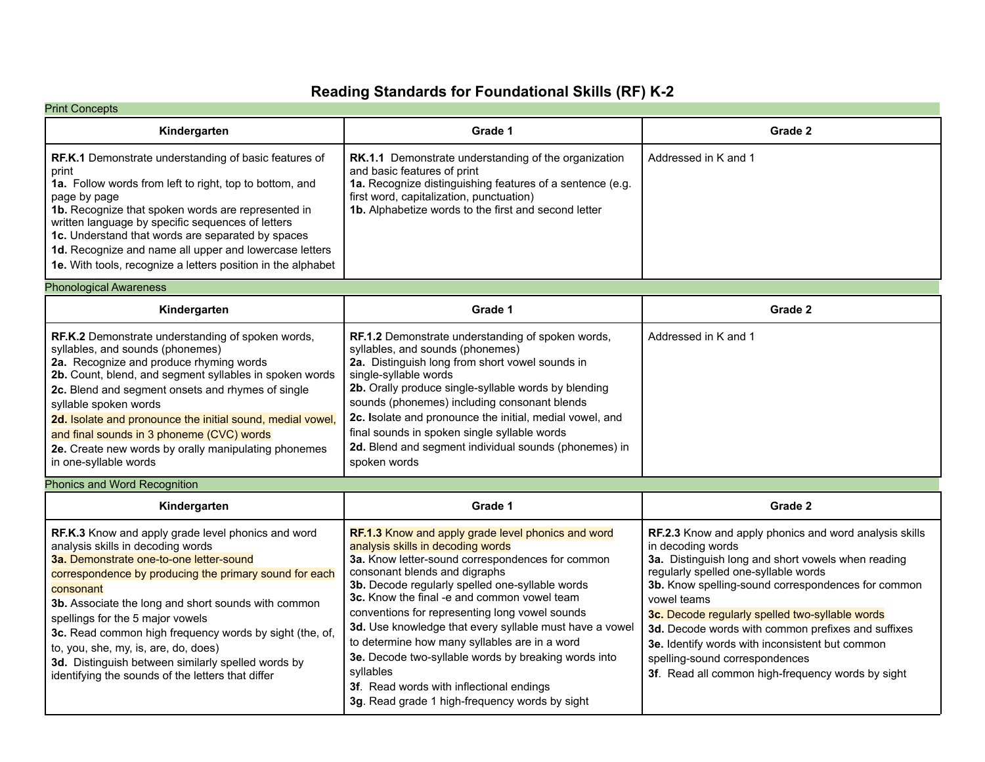### **Reading Standards for Foundational Skills (RF) K-2**

| <b>Print Concepts</b>                                                                                                                                                                                                                                                                                                                                                                                                                                                                                              |                                                                                                                                                                                                                                                                                                                                                                                                                                                                                                                                                                                                                 |                                                                                                                                                                                                                                                                                                                                                                                                                                                                                                   |
|--------------------------------------------------------------------------------------------------------------------------------------------------------------------------------------------------------------------------------------------------------------------------------------------------------------------------------------------------------------------------------------------------------------------------------------------------------------------------------------------------------------------|-----------------------------------------------------------------------------------------------------------------------------------------------------------------------------------------------------------------------------------------------------------------------------------------------------------------------------------------------------------------------------------------------------------------------------------------------------------------------------------------------------------------------------------------------------------------------------------------------------------------|---------------------------------------------------------------------------------------------------------------------------------------------------------------------------------------------------------------------------------------------------------------------------------------------------------------------------------------------------------------------------------------------------------------------------------------------------------------------------------------------------|
| Kindergarten                                                                                                                                                                                                                                                                                                                                                                                                                                                                                                       | Grade 1                                                                                                                                                                                                                                                                                                                                                                                                                                                                                                                                                                                                         | Grade 2                                                                                                                                                                                                                                                                                                                                                                                                                                                                                           |
| RF.K.1 Demonstrate understanding of basic features of<br>print<br>1a. Follow words from left to right, top to bottom, and<br>page by page<br>1b. Recognize that spoken words are represented in<br>written language by specific sequences of letters<br>1c. Understand that words are separated by spaces<br>1d. Recognize and name all upper and lowercase letters<br>1e. With tools, recognize a letters position in the alphabet                                                                                | RK.1.1 Demonstrate understanding of the organization<br>and basic features of print<br>1a. Recognize distinguishing features of a sentence (e.g.<br>first word, capitalization, punctuation)<br>1b. Alphabetize words to the first and second letter                                                                                                                                                                                                                                                                                                                                                            | Addressed in K and 1                                                                                                                                                                                                                                                                                                                                                                                                                                                                              |
| <b>Phonological Awareness</b>                                                                                                                                                                                                                                                                                                                                                                                                                                                                                      |                                                                                                                                                                                                                                                                                                                                                                                                                                                                                                                                                                                                                 |                                                                                                                                                                                                                                                                                                                                                                                                                                                                                                   |
| Kindergarten                                                                                                                                                                                                                                                                                                                                                                                                                                                                                                       | Grade 1                                                                                                                                                                                                                                                                                                                                                                                                                                                                                                                                                                                                         | Grade 2                                                                                                                                                                                                                                                                                                                                                                                                                                                                                           |
| RF.K.2 Demonstrate understanding of spoken words,<br>syllables, and sounds (phonemes)<br>2a. Recognize and produce rhyming words<br>2b. Count, blend, and segment syllables in spoken words<br>2c. Blend and segment onsets and rhymes of single<br>syllable spoken words<br>2d. Isolate and pronounce the initial sound, medial vowel,<br>and final sounds in 3 phoneme (CVC) words<br>2e. Create new words by orally manipulating phonemes<br>in one-syllable words                                              | RF.1.2 Demonstrate understanding of spoken words,<br>syllables, and sounds (phonemes)<br>2a. Distinguish long from short vowel sounds in<br>single-syllable words<br>2b. Orally produce single-syllable words by blending<br>sounds (phonemes) including consonant blends<br>2c. Isolate and pronounce the initial, medial vowel, and<br>final sounds in spoken single syllable words<br>2d. Blend and segment individual sounds (phonemes) in<br>spoken words                                                                                                                                                  | Addressed in K and 1                                                                                                                                                                                                                                                                                                                                                                                                                                                                              |
| <b>Phonics and Word Recognition</b>                                                                                                                                                                                                                                                                                                                                                                                                                                                                                |                                                                                                                                                                                                                                                                                                                                                                                                                                                                                                                                                                                                                 |                                                                                                                                                                                                                                                                                                                                                                                                                                                                                                   |
| Kindergarten                                                                                                                                                                                                                                                                                                                                                                                                                                                                                                       | Grade 1                                                                                                                                                                                                                                                                                                                                                                                                                                                                                                                                                                                                         | Grade 2                                                                                                                                                                                                                                                                                                                                                                                                                                                                                           |
| RF.K.3 Know and apply grade level phonics and word<br>analysis skills in decoding words<br>3a. Demonstrate one-to-one letter-sound<br>correspondence by producing the primary sound for each<br>consonant<br>3b. Associate the long and short sounds with common<br>spellings for the 5 major vowels<br>3c. Read common high frequency words by sight (the, of,<br>to, you, she, my, is, are, do, does)<br>3d. Distinguish between similarly spelled words by<br>identifying the sounds of the letters that differ | RF.1.3 Know and apply grade level phonics and word<br>analysis skills in decoding words<br>3a. Know letter-sound correspondences for common<br>consonant blends and digraphs<br>3b. Decode regularly spelled one-syllable words<br>3c. Know the final -e and common vowel team<br>conventions for representing long vowel sounds<br>3d. Use knowledge that every syllable must have a vowel<br>to determine how many syllables are in a word<br>3e. Decode two-syllable words by breaking words into<br>syllables<br>3f. Read words with inflectional endings<br>3g. Read grade 1 high-frequency words by sight | RF.2.3 Know and apply phonics and word analysis skills<br>in decoding words<br>3a. Distinguish long and short vowels when reading<br>regularly spelled one-syllable words<br>3b. Know spelling-sound correspondences for common<br>vowel teams<br>3c. Decode regularly spelled two-syllable words<br>3d. Decode words with common prefixes and suffixes<br>3e. Identify words with inconsistent but common<br>spelling-sound correspondences<br>3f. Read all common high-frequency words by sight |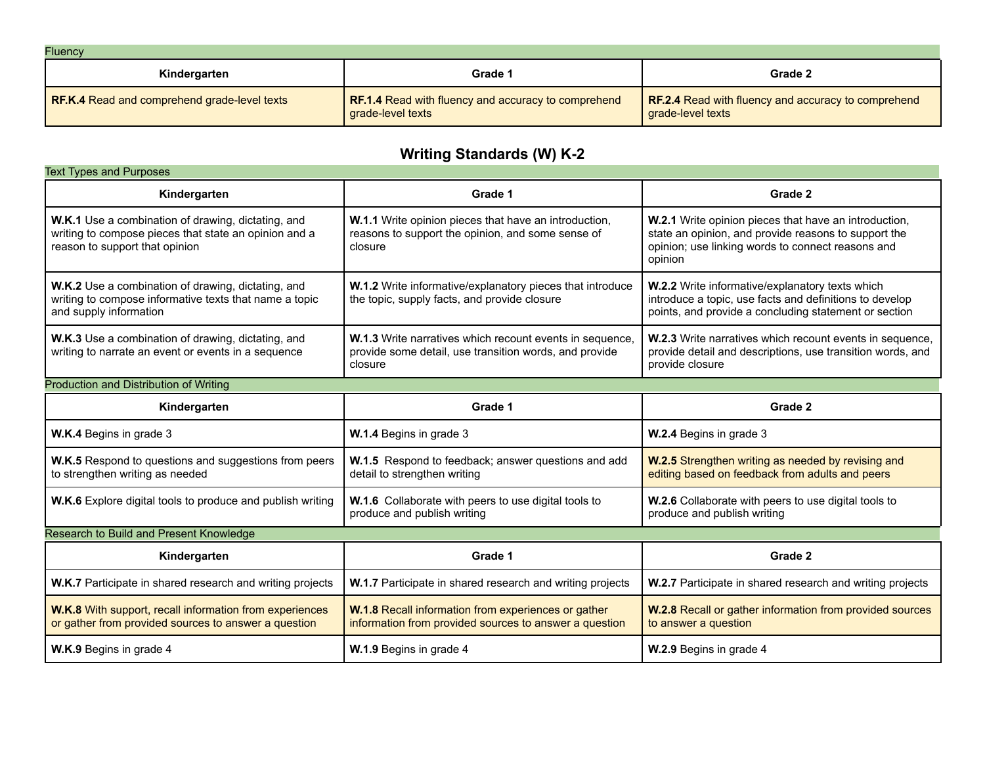| <b>Fluency</b>                               |                                                                          |                                                                                 |
|----------------------------------------------|--------------------------------------------------------------------------|---------------------------------------------------------------------------------|
| Kindergarten                                 | Grade 1                                                                  | Grade 2                                                                         |
| RF.K.4 Read and comprehend grade-level texts | RF.1.4 Read with fluency and accuracy to comprehend<br>grade-level texts | <b>RF.2.4</b> Read with fluency and accuracy to comprehend<br>grade-level texts |

# **Writing Standards (W) K-2**

| <b>Text Types and Purposes</b>                                                                                                                |                                                                                                                               |                                                                                                                                                                               |
|-----------------------------------------------------------------------------------------------------------------------------------------------|-------------------------------------------------------------------------------------------------------------------------------|-------------------------------------------------------------------------------------------------------------------------------------------------------------------------------|
| Kindergarten                                                                                                                                  | Grade 1                                                                                                                       | Grade 2                                                                                                                                                                       |
| W.K.1 Use a combination of drawing, dictating, and<br>writing to compose pieces that state an opinion and a<br>reason to support that opinion | W.1.1 Write opinion pieces that have an introduction,<br>reasons to support the opinion, and some sense of<br>closure         | W.2.1 Write opinion pieces that have an introduction,<br>state an opinion, and provide reasons to support the<br>opinion; use linking words to connect reasons and<br>opinion |
| W.K.2 Use a combination of drawing, dictating, and<br>writing to compose informative texts that name a topic<br>and supply information        | W.1.2 Write informative/explanatory pieces that introduce<br>the topic, supply facts, and provide closure                     | W.2.2 Write informative/explanatory texts which<br>introduce a topic, use facts and definitions to develop<br>points, and provide a concluding statement or section           |
| W.K.3 Use a combination of drawing, dictating, and<br>writing to narrate an event or events in a sequence                                     | W.1.3 Write narratives which recount events in sequence,<br>provide some detail, use transition words, and provide<br>closure | W.2.3 Write narratives which recount events in sequence,<br>provide detail and descriptions, use transition words, and<br>provide closure                                     |
| Production and Distribution of Writing                                                                                                        |                                                                                                                               |                                                                                                                                                                               |
| Kindergarten                                                                                                                                  | Grade 1                                                                                                                       | Grade 2                                                                                                                                                                       |
| W.K.4 Begins in grade 3                                                                                                                       | W.1.4 Begins in grade 3                                                                                                       | W.2.4 Begins in grade 3                                                                                                                                                       |
| W.K.5 Respond to questions and suggestions from peers<br>to strengthen writing as needed                                                      | W.1.5 Respond to feedback; answer questions and add<br>detail to strengthen writing                                           | <b>W.2.5</b> Strengthen writing as needed by revising and<br>editing based on feedback from adults and peers                                                                  |
|                                                                                                                                               |                                                                                                                               |                                                                                                                                                                               |
| W.K.6 Explore digital tools to produce and publish writing                                                                                    | W.1.6 Collaborate with peers to use digital tools to<br>produce and publish writing                                           | W.2.6 Collaborate with peers to use digital tools to<br>produce and publish writing                                                                                           |
| Research to Build and Present Knowledge                                                                                                       |                                                                                                                               |                                                                                                                                                                               |
| Kindergarten                                                                                                                                  | Grade 1                                                                                                                       | Grade 2                                                                                                                                                                       |
| W.K.7 Participate in shared research and writing projects                                                                                     | W.1.7 Participate in shared research and writing projects                                                                     | W.2.7 Participate in shared research and writing projects                                                                                                                     |
| W.K.8 With support, recall information from experiences<br>or gather from provided sources to answer a question                               | W.1.8 Recall information from experiences or gather<br>information from provided sources to answer a question                 | W.2.8 Recall or gather information from provided sources<br>to answer a question                                                                                              |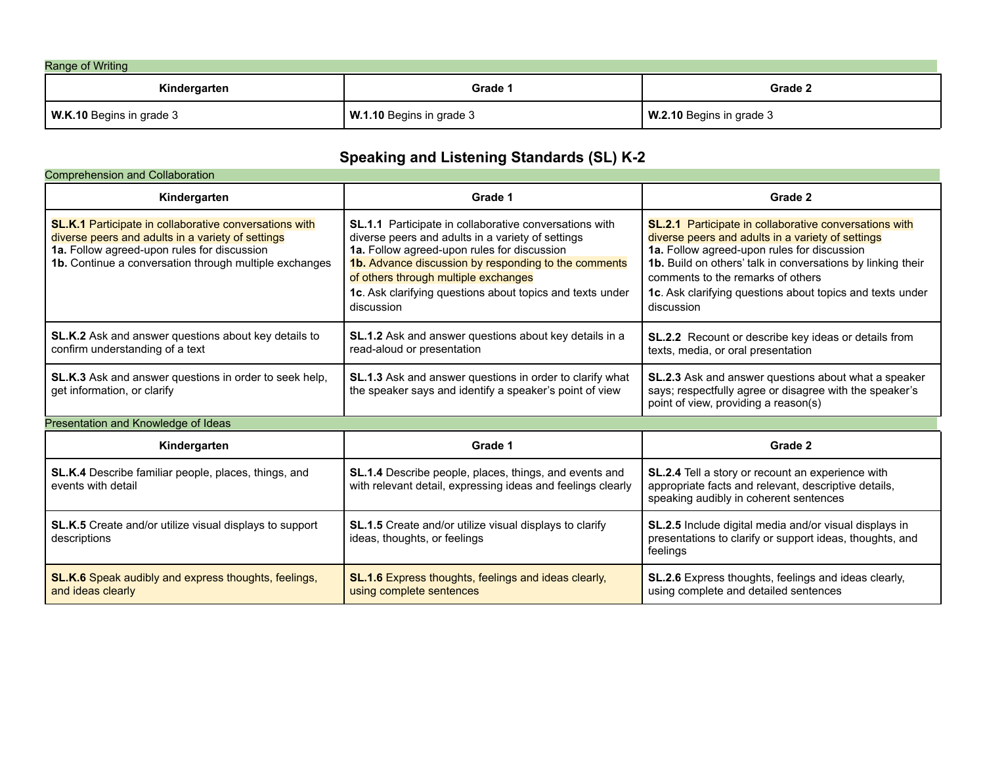| Range of Writing         |                          |                          |
|--------------------------|--------------------------|--------------------------|
| Kindergarten             | Grade 1                  | Grade 2                  |
| W.K.10 Begins in grade 3 | W.1.10 Begins in grade 3 | W.2.10 Begins in grade 3 |

# **Speaking and Listening Standards (SL) K-2**

| <b>Comprehension and Collaboration</b>                                                                                                                                                                                      |                                                                                                                                                                                                                                                                                                                                       |                                                                                                                                                                                                                                                                                                                                           |
|-----------------------------------------------------------------------------------------------------------------------------------------------------------------------------------------------------------------------------|---------------------------------------------------------------------------------------------------------------------------------------------------------------------------------------------------------------------------------------------------------------------------------------------------------------------------------------|-------------------------------------------------------------------------------------------------------------------------------------------------------------------------------------------------------------------------------------------------------------------------------------------------------------------------------------------|
| Kindergarten                                                                                                                                                                                                                | Grade 1                                                                                                                                                                                                                                                                                                                               | Grade 2                                                                                                                                                                                                                                                                                                                                   |
| <b>SL.K.1</b> Participate in collaborative conversations with<br>diverse peers and adults in a variety of settings<br>1a. Follow agreed-upon rules for discussion<br>1b. Continue a conversation through multiple exchanges | SL.1.1 Participate in collaborative conversations with<br>diverse peers and adults in a variety of settings<br>1a. Follow agreed-upon rules for discussion<br>1b. Advance discussion by responding to the comments<br>of others through multiple exchanges<br>1c. Ask clarifying questions about topics and texts under<br>discussion | SL.2.1 Participate in collaborative conversations with<br>diverse peers and adults in a variety of settings<br>1a. Follow agreed-upon rules for discussion<br>1b. Build on others' talk in conversations by linking their<br>comments to the remarks of others<br>1c. Ask clarifying questions about topics and texts under<br>discussion |
| SL.K.2 Ask and answer questions about key details to<br>confirm understanding of a text                                                                                                                                     | <b>SL.1.2</b> Ask and answer questions about key details in a<br>read-aloud or presentation                                                                                                                                                                                                                                           | SL.2.2 Recount or describe key ideas or details from<br>texts, media, or oral presentation                                                                                                                                                                                                                                                |
| SL.K.3 Ask and answer questions in order to seek help,<br>get information, or clarify                                                                                                                                       | SL.1.3 Ask and answer questions in order to clarify what<br>the speaker says and identify a speaker's point of view                                                                                                                                                                                                                   | SL.2.3 Ask and answer questions about what a speaker<br>says; respectfully agree or disagree with the speaker's<br>point of view, providing a reason(s)                                                                                                                                                                                   |
| Presentation and Knowledge of Ideas                                                                                                                                                                                         |                                                                                                                                                                                                                                                                                                                                       |                                                                                                                                                                                                                                                                                                                                           |
| Kindergarten                                                                                                                                                                                                                | Grade 1                                                                                                                                                                                                                                                                                                                               | Grade 2                                                                                                                                                                                                                                                                                                                                   |
| SL.K.4 Describe familiar people, places, things, and<br>events with detail                                                                                                                                                  | SL.1.4 Describe people, places, things, and events and<br>with relevant detail, expressing ideas and feelings clearly                                                                                                                                                                                                                 | SL.2.4 Tell a story or recount an experience with<br>appropriate facts and relevant, descriptive details,<br>speaking audibly in coherent sentences                                                                                                                                                                                       |
| SL.K.5 Create and/or utilize visual displays to support<br>descriptions                                                                                                                                                     | <b>SL.1.5</b> Create and/or utilize visual displays to clarify<br>ideas, thoughts, or feelings                                                                                                                                                                                                                                        | SL.2.5 Include digital media and/or visual displays in<br>presentations to clarify or support ideas, thoughts, and<br>feelings                                                                                                                                                                                                            |
| <b>SL.K.6</b> Speak audibly and express thoughts, feelings,<br>and ideas clearly                                                                                                                                            | SL.1.6 Express thoughts, feelings and ideas clearly,<br>using complete sentences                                                                                                                                                                                                                                                      | SL.2.6 Express thoughts, feelings and ideas clearly,<br>using complete and detailed sentences                                                                                                                                                                                                                                             |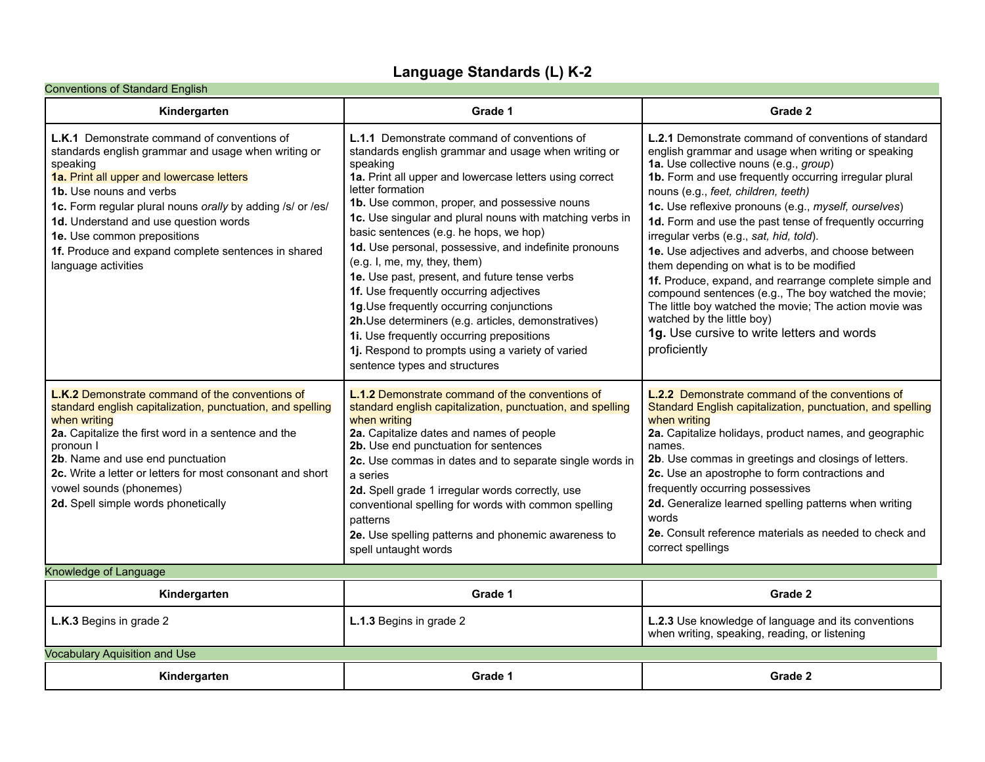## **Language Standards (L) K-2**

| <b>Conventions of Standard English</b>                                                                                                                                                                                                                                                                                                                                                                            |                                                                                                                                                                                                                                                                                                                                                                                                                                                                                                                                                                                                                                                                                                                                                                                      |                                                                                                                                                                                                                                                                                                                                                                                                                                                                                                                                                                                                                                                                                                                                                                                                      |  |
|-------------------------------------------------------------------------------------------------------------------------------------------------------------------------------------------------------------------------------------------------------------------------------------------------------------------------------------------------------------------------------------------------------------------|--------------------------------------------------------------------------------------------------------------------------------------------------------------------------------------------------------------------------------------------------------------------------------------------------------------------------------------------------------------------------------------------------------------------------------------------------------------------------------------------------------------------------------------------------------------------------------------------------------------------------------------------------------------------------------------------------------------------------------------------------------------------------------------|------------------------------------------------------------------------------------------------------------------------------------------------------------------------------------------------------------------------------------------------------------------------------------------------------------------------------------------------------------------------------------------------------------------------------------------------------------------------------------------------------------------------------------------------------------------------------------------------------------------------------------------------------------------------------------------------------------------------------------------------------------------------------------------------------|--|
| Kindergarten                                                                                                                                                                                                                                                                                                                                                                                                      | Grade 1                                                                                                                                                                                                                                                                                                                                                                                                                                                                                                                                                                                                                                                                                                                                                                              | Grade 2                                                                                                                                                                                                                                                                                                                                                                                                                                                                                                                                                                                                                                                                                                                                                                                              |  |
| <b>L.K.1</b> Demonstrate command of conventions of<br>standards english grammar and usage when writing or<br>speaking<br>1a. Print all upper and lowercase letters<br>1b. Use nouns and verbs<br>1c. Form regular plural nouns orally by adding /s/ or /es/<br>1d. Understand and use question words<br>1e. Use common prepositions<br>1f. Produce and expand complete sentences in shared<br>language activities | <b>L.1.1</b> Demonstrate command of conventions of<br>standards english grammar and usage when writing or<br>speaking<br>1a. Print all upper and lowercase letters using correct<br>letter formation<br>1b. Use common, proper, and possessive nouns<br>1c. Use singular and plural nouns with matching verbs in<br>basic sentences (e.g. he hops, we hop)<br>1d. Use personal, possessive, and indefinite pronouns<br>(e.g. I, me, my, they, them)<br>1e. Use past, present, and future tense verbs<br>1f. Use frequently occurring adjectives<br>1g. Use frequently occurring conjunctions<br>2h.Use determiners (e.g. articles, demonstratives)<br>1i. Use frequently occurring prepositions<br>1j. Respond to prompts using a variety of varied<br>sentence types and structures | <b>L.2.1</b> Demonstrate command of conventions of standard<br>english grammar and usage when writing or speaking<br>1a. Use collective nouns (e.g., group)<br>1b. Form and use frequently occurring irregular plural<br>nouns (e.g., feet, children, teeth)<br>1c. Use reflexive pronouns (e.g., myself, ourselves)<br>1d. Form and use the past tense of frequently occurring<br>irregular verbs (e.g., sat, hid, told).<br>1e. Use adjectives and adverbs, and choose between<br>them depending on what is to be modified<br>1f. Produce, expand, and rearrange complete simple and<br>compound sentences (e.g., The boy watched the movie;<br>The little boy watched the movie; The action movie was<br>watched by the little boy)<br>1g. Use cursive to write letters and words<br>proficiently |  |
| L.K.2 Demonstrate command of the conventions of<br>standard english capitalization, punctuation, and spelling<br>when writing<br>2a. Capitalize the first word in a sentence and the<br>pronoun I<br>2b. Name and use end punctuation<br>2c. Write a letter or letters for most consonant and short<br>vowel sounds (phonemes)<br>2d. Spell simple words phonetically                                             | <b>L.1.2</b> Demonstrate command of the conventions of<br>standard english capitalization, punctuation, and spelling<br>when writing<br>2a. Capitalize dates and names of people<br>2b. Use end punctuation for sentences<br>2c. Use commas in dates and to separate single words in<br>a series<br>2d. Spell grade 1 irregular words correctly, use<br>conventional spelling for words with common spelling<br>patterns<br>2e. Use spelling patterns and phonemic awareness to<br>spell untaught words                                                                                                                                                                                                                                                                              | <b>L.2.2</b> Demonstrate command of the conventions of<br>Standard English capitalization, punctuation, and spelling<br>when writing<br>2a. Capitalize holidays, product names, and geographic<br>names.<br>2b. Use commas in greetings and closings of letters.<br>2c. Use an apostrophe to form contractions and<br>frequently occurring possessives<br>2d. Generalize learned spelling patterns when writing<br>words<br>2e. Consult reference materials as needed to check and<br>correct spellings                                                                                                                                                                                                                                                                                              |  |
| Knowledge of Language                                                                                                                                                                                                                                                                                                                                                                                             |                                                                                                                                                                                                                                                                                                                                                                                                                                                                                                                                                                                                                                                                                                                                                                                      |                                                                                                                                                                                                                                                                                                                                                                                                                                                                                                                                                                                                                                                                                                                                                                                                      |  |
| Kindergarten                                                                                                                                                                                                                                                                                                                                                                                                      | Grade 1                                                                                                                                                                                                                                                                                                                                                                                                                                                                                                                                                                                                                                                                                                                                                                              | Grade 2                                                                                                                                                                                                                                                                                                                                                                                                                                                                                                                                                                                                                                                                                                                                                                                              |  |
| L.K.3 Begins in grade 2                                                                                                                                                                                                                                                                                                                                                                                           | L.1.3 Begins in grade 2                                                                                                                                                                                                                                                                                                                                                                                                                                                                                                                                                                                                                                                                                                                                                              | L.2.3 Use knowledge of language and its conventions<br>when writing, speaking, reading, or listening                                                                                                                                                                                                                                                                                                                                                                                                                                                                                                                                                                                                                                                                                                 |  |
| <b>Vocabulary Aquisition and Use</b>                                                                                                                                                                                                                                                                                                                                                                              |                                                                                                                                                                                                                                                                                                                                                                                                                                                                                                                                                                                                                                                                                                                                                                                      |                                                                                                                                                                                                                                                                                                                                                                                                                                                                                                                                                                                                                                                                                                                                                                                                      |  |
| Kindergarten                                                                                                                                                                                                                                                                                                                                                                                                      | Grade 1                                                                                                                                                                                                                                                                                                                                                                                                                                                                                                                                                                                                                                                                                                                                                                              | Grade 2                                                                                                                                                                                                                                                                                                                                                                                                                                                                                                                                                                                                                                                                                                                                                                                              |  |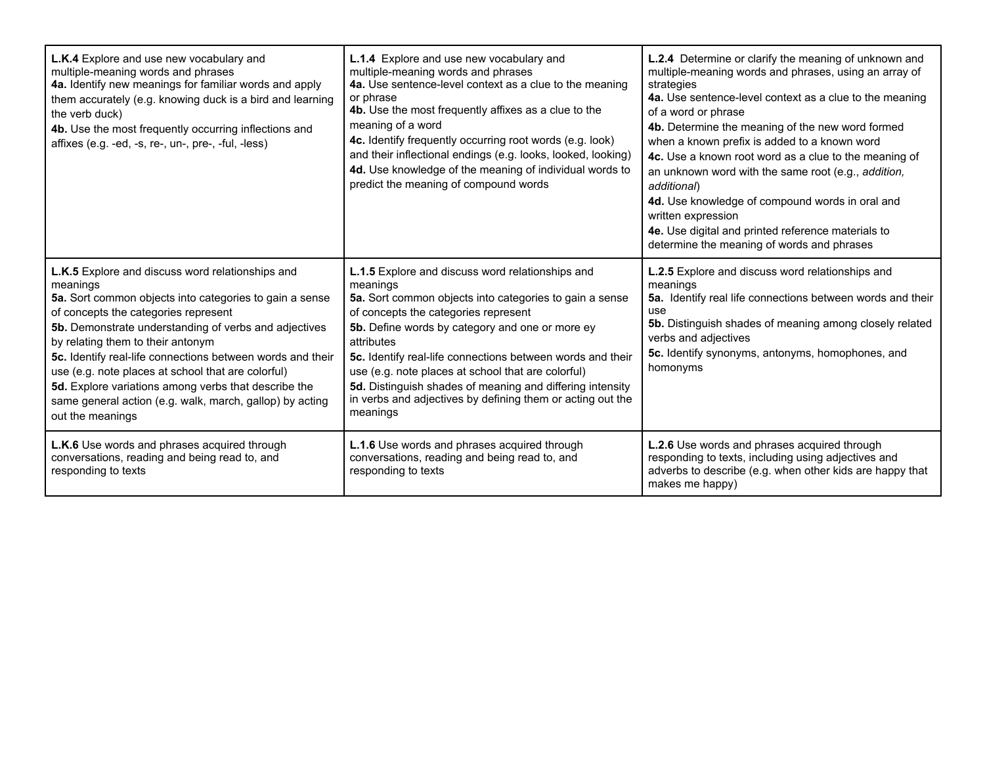| L.K.4 Explore and use new vocabulary and<br>multiple-meaning words and phrases<br>4a. Identify new meanings for familiar words and apply<br>them accurately (e.g. knowing duck is a bird and learning<br>the verb duck)<br>4b. Use the most frequently occurring inflections and<br>affixes (e.g. -ed, -s, re-, un-, pre-, -ful, -less)                                                                                                                                                                                   | L.1.4 Explore and use new vocabulary and<br>multiple-meaning words and phrases<br>4a. Use sentence-level context as a clue to the meaning<br>or phrase<br>4b. Use the most frequently affixes as a clue to the<br>meaning of a word<br>4c. Identify frequently occurring root words (e.g. look)<br>and their inflectional endings (e.g. looks, looked, looking)<br>4d. Use knowledge of the meaning of individual words to<br>predict the meaning of compound words                         | L.2.4 Determine or clarify the meaning of unknown and<br>multiple-meaning words and phrases, using an array of<br>strategies<br>4a. Use sentence-level context as a clue to the meaning<br>of a word or phrase<br>4b. Determine the meaning of the new word formed<br>when a known prefix is added to a known word<br>4c. Use a known root word as a clue to the meaning of<br>an unknown word with the same root (e.g., addition,<br>additional)<br>4d. Use knowledge of compound words in oral and<br>written expression<br>4e. Use digital and printed reference materials to<br>determine the meaning of words and phrases |
|---------------------------------------------------------------------------------------------------------------------------------------------------------------------------------------------------------------------------------------------------------------------------------------------------------------------------------------------------------------------------------------------------------------------------------------------------------------------------------------------------------------------------|---------------------------------------------------------------------------------------------------------------------------------------------------------------------------------------------------------------------------------------------------------------------------------------------------------------------------------------------------------------------------------------------------------------------------------------------------------------------------------------------|--------------------------------------------------------------------------------------------------------------------------------------------------------------------------------------------------------------------------------------------------------------------------------------------------------------------------------------------------------------------------------------------------------------------------------------------------------------------------------------------------------------------------------------------------------------------------------------------------------------------------------|
| L.K.5 Explore and discuss word relationships and<br>meanings<br>5a. Sort common objects into categories to gain a sense<br>of concepts the categories represent<br>5b. Demonstrate understanding of verbs and adjectives<br>by relating them to their antonym<br>5c. Identify real-life connections between words and their<br>use (e.g. note places at school that are colorful)<br>5d. Explore variations among verbs that describe the<br>same general action (e.g. walk, march, gallop) by acting<br>out the meanings | L.1.5 Explore and discuss word relationships and<br>meanings<br>5a. Sort common objects into categories to gain a sense<br>of concepts the categories represent<br>5b. Define words by category and one or more ey<br>attributes<br>5c. Identify real-life connections between words and their<br>use (e.g. note places at school that are colorful)<br>5d. Distinguish shades of meaning and differing intensity<br>in verbs and adjectives by defining them or acting out the<br>meanings | L.2.5 Explore and discuss word relationships and<br>meanings<br>5a. Identify real life connections between words and their<br>use<br><b>5b.</b> Distinguish shades of meaning among closely related<br>verbs and adjectives<br>5c. Identify synonyms, antonyms, homophones, and<br>homonyms                                                                                                                                                                                                                                                                                                                                    |
| L.K.6 Use words and phrases acquired through<br>conversations, reading and being read to, and<br>responding to texts                                                                                                                                                                                                                                                                                                                                                                                                      | L.1.6 Use words and phrases acquired through<br>conversations, reading and being read to, and<br>responding to texts                                                                                                                                                                                                                                                                                                                                                                        | L.2.6 Use words and phrases acquired through<br>responding to texts, including using adjectives and<br>adverbs to describe (e.g. when other kids are happy that<br>makes me happy)                                                                                                                                                                                                                                                                                                                                                                                                                                             |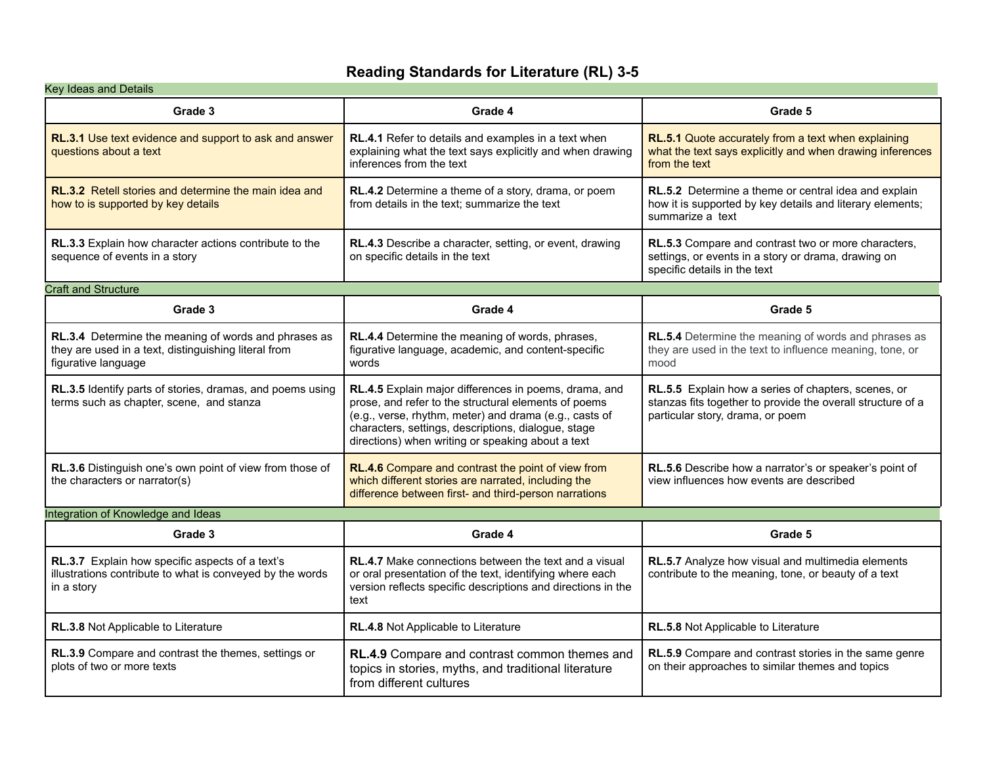### **Reading Standards for Literature (RL) 3-5**

| Key Ideas and Details                                                                                                               |                                                                                                                                                                                                                                                                                     |                                                                                                                                                        |
|-------------------------------------------------------------------------------------------------------------------------------------|-------------------------------------------------------------------------------------------------------------------------------------------------------------------------------------------------------------------------------------------------------------------------------------|--------------------------------------------------------------------------------------------------------------------------------------------------------|
| Grade 3                                                                                                                             | Grade 4                                                                                                                                                                                                                                                                             | Grade 5                                                                                                                                                |
| RL.3.1 Use text evidence and support to ask and answer<br>questions about a text                                                    | RL.4.1 Refer to details and examples in a text when<br>explaining what the text says explicitly and when drawing<br>inferences from the text                                                                                                                                        | RL.5.1 Quote accurately from a text when explaining<br>what the text says explicitly and when drawing inferences<br>from the text                      |
| <b>RL.3.2</b> Retell stories and determine the main idea and<br>how to is supported by key details                                  | RL.4.2 Determine a theme of a story, drama, or poem<br>from details in the text; summarize the text                                                                                                                                                                                 | <b>RL.5.2</b> Determine a theme or central idea and explain<br>how it is supported by key details and literary elements;<br>summarize a text           |
| <b>RL.3.3</b> Explain how character actions contribute to the<br>sequence of events in a story                                      | RL.4.3 Describe a character, setting, or event, drawing<br>on specific details in the text                                                                                                                                                                                          | RL.5.3 Compare and contrast two or more characters,<br>settings, or events in a story or drama, drawing on<br>specific details in the text             |
| <b>Craft and Structure</b>                                                                                                          |                                                                                                                                                                                                                                                                                     |                                                                                                                                                        |
| Grade 3                                                                                                                             | Grade 4                                                                                                                                                                                                                                                                             | Grade 5                                                                                                                                                |
| RL.3.4 Determine the meaning of words and phrases as<br>they are used in a text, distinguishing literal from<br>figurative language | RL.4.4 Determine the meaning of words, phrases,<br>figurative language, academic, and content-specific<br>words                                                                                                                                                                     | RL.5.4 Determine the meaning of words and phrases as<br>they are used in the text to influence meaning, tone, or<br>mood                               |
| RL.3.5 Identify parts of stories, dramas, and poems using<br>terms such as chapter, scene, and stanza                               | RL.4.5 Explain major differences in poems, drama, and<br>prose, and refer to the structural elements of poems<br>(e.g., verse, rhythm, meter) and drama (e.g., casts of<br>characters, settings, descriptions, dialogue, stage<br>directions) when writing or speaking about a text | RL.5.5 Explain how a series of chapters, scenes, or<br>stanzas fits together to provide the overall structure of a<br>particular story, drama, or poem |
| RL.3.6 Distinguish one's own point of view from those of<br>the characters or narrator(s)                                           | RL.4.6 Compare and contrast the point of view from<br>which different stories are narrated, including the<br>difference between first- and third-person narrations                                                                                                                  | RL.5.6 Describe how a narrator's or speaker's point of<br>view influences how events are described                                                     |
| Integration of Knowledge and Ideas                                                                                                  |                                                                                                                                                                                                                                                                                     |                                                                                                                                                        |
| Grade 3                                                                                                                             | Grade 4                                                                                                                                                                                                                                                                             | Grade 5                                                                                                                                                |
| RL.3.7 Explain how specific aspects of a text's<br>illustrations contribute to what is conveyed by the words<br>in a story          | <b>RL.4.7</b> Make connections between the text and a visual<br>or oral presentation of the text, identifying where each<br>version reflects specific descriptions and directions in the<br>text                                                                                    | RL.5.7 Analyze how visual and multimedia elements<br>contribute to the meaning, tone, or beauty of a text                                              |
| RL.3.8 Not Applicable to Literature                                                                                                 | RL.4.8 Not Applicable to Literature                                                                                                                                                                                                                                                 | RL.5.8 Not Applicable to Literature                                                                                                                    |
| RL.3.9 Compare and contrast the themes, settings or<br>plots of two or more texts                                                   | RL.4.9 Compare and contrast common themes and<br>topics in stories, myths, and traditional literature<br>from different cultures                                                                                                                                                    | RL.5.9 Compare and contrast stories in the same genre<br>on their approaches to similar themes and topics                                              |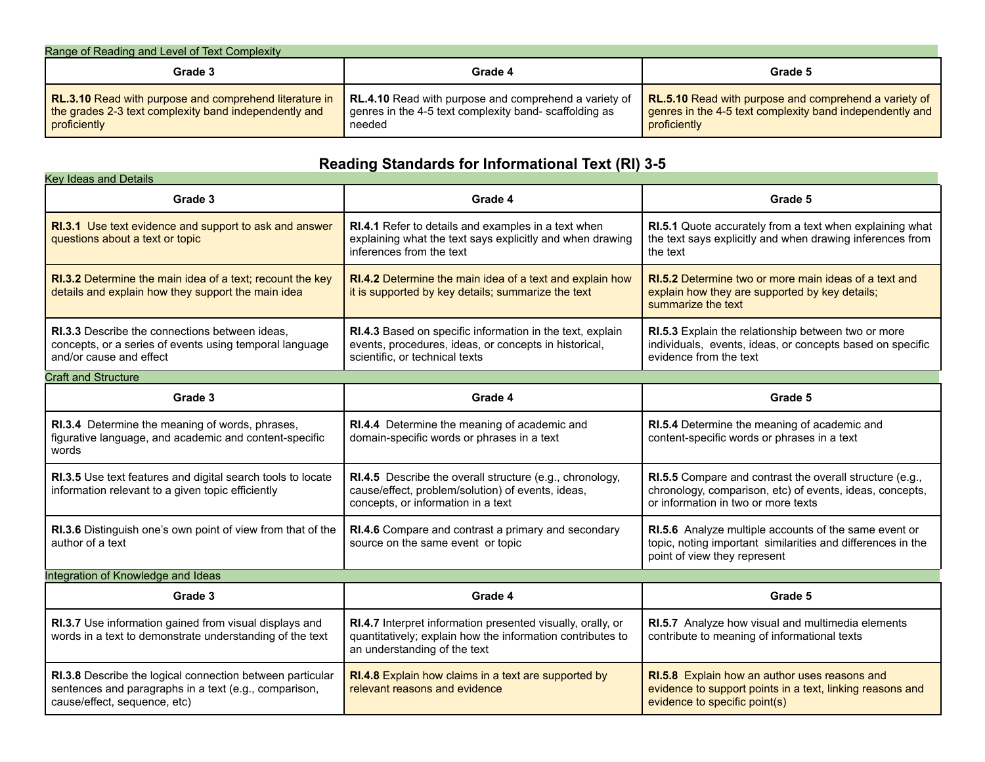| Range of Reading and Level of Text Complexity                                                                                   |                                                                                                                          |                                                                                                                                          |
|---------------------------------------------------------------------------------------------------------------------------------|--------------------------------------------------------------------------------------------------------------------------|------------------------------------------------------------------------------------------------------------------------------------------|
| Grade 3                                                                                                                         | Grade 4                                                                                                                  | Grade 5                                                                                                                                  |
| RL.3.10 Read with purpose and comprehend literature in<br>the grades 2-3 text complexity band independently and<br>proficiently | RL.4.10 Read with purpose and comprehend a variety of<br>genres in the 4-5 text complexity band-scaffolding as<br>needed | <b>RL.5.10</b> Read with purpose and comprehend a variety of<br>genres in the 4-5 text complexity band independently and<br>proficiently |

# **Reading Standards for Informational Text (RI) 3-5**

| <b>Key Ideas and Details</b>                                                                                                                       |                                                                                                                                                           |                                                                                                                                                             |
|----------------------------------------------------------------------------------------------------------------------------------------------------|-----------------------------------------------------------------------------------------------------------------------------------------------------------|-------------------------------------------------------------------------------------------------------------------------------------------------------------|
| Grade 3                                                                                                                                            | Grade 4                                                                                                                                                   | Grade 5                                                                                                                                                     |
| RI.3.1 Use text evidence and support to ask and answer<br>questions about a text or topic                                                          | <b>RI.4.1</b> Refer to details and examples in a text when<br>explaining what the text says explicitly and when drawing<br>inferences from the text       | RI.5.1 Quote accurately from a text when explaining what<br>the text says explicitly and when drawing inferences from<br>the text                           |
| <b>RI.3.2</b> Determine the main idea of a text; recount the key<br>details and explain how they support the main idea                             | <b>RI.4.2</b> Determine the main idea of a text and explain how<br>it is supported by key details; summarize the text                                     | <b>RI.5.2</b> Determine two or more main ideas of a text and<br>explain how they are supported by key details;<br>summarize the text                        |
| RI.3.3 Describe the connections between ideas.<br>concepts, or a series of events using temporal language<br>and/or cause and effect               | RI.4.3 Based on specific information in the text, explain<br>events, procedures, ideas, or concepts in historical,<br>scientific, or technical texts      | RI.5.3 Explain the relationship between two or more<br>individuals, events, ideas, or concepts based on specific<br>evidence from the text                  |
| <b>Craft and Structure</b>                                                                                                                         |                                                                                                                                                           |                                                                                                                                                             |
| Grade 3                                                                                                                                            | Grade 4                                                                                                                                                   | Grade 5                                                                                                                                                     |
| RI.3.4 Determine the meaning of words, phrases,<br>figurative language, and academic and content-specific<br>words                                 | RI.4.4 Determine the meaning of academic and<br>domain-specific words or phrases in a text                                                                | RI.5.4 Determine the meaning of academic and<br>content-specific words or phrases in a text                                                                 |
| RI.3.5 Use text features and digital search tools to locate<br>information relevant to a given topic efficiently                                   | RI.4.5 Describe the overall structure (e.g., chronology,<br>cause/effect, problem/solution) of events, ideas,<br>concepts, or information in a text       | RI.5.5 Compare and contrast the overall structure (e.g.,<br>chronology, comparison, etc) of events, ideas, concepts,<br>or information in two or more texts |
| RI.3.6 Distinguish one's own point of view from that of the<br>author of a text                                                                    | RI.4.6 Compare and contrast a primary and secondary<br>source on the same event or topic                                                                  | RI.5.6 Analyze multiple accounts of the same event or<br>topic, noting important similarities and differences in the<br>point of view they represent        |
| Integration of Knowledge and Ideas                                                                                                                 |                                                                                                                                                           |                                                                                                                                                             |
| Grade 3                                                                                                                                            | Grade 4                                                                                                                                                   | Grade 5                                                                                                                                                     |
| RI.3.7 Use information gained from visual displays and<br>words in a text to demonstrate understanding of the text                                 | RI.4.7 Interpret information presented visually, orally, or<br>quantitatively; explain how the information contributes to<br>an understanding of the text | RI.5.7 Analyze how visual and multimedia elements<br>contribute to meaning of informational texts                                                           |
| RI.3.8 Describe the logical connection between particular<br>sentences and paragraphs in a text (e.g., comparison,<br>cause/effect, sequence, etc) | RI.4.8 Explain how claims in a text are supported by<br>relevant reasons and evidence                                                                     | RI.5.8 Explain how an author uses reasons and<br>evidence to support points in a text, linking reasons and<br>evidence to specific point(s)                 |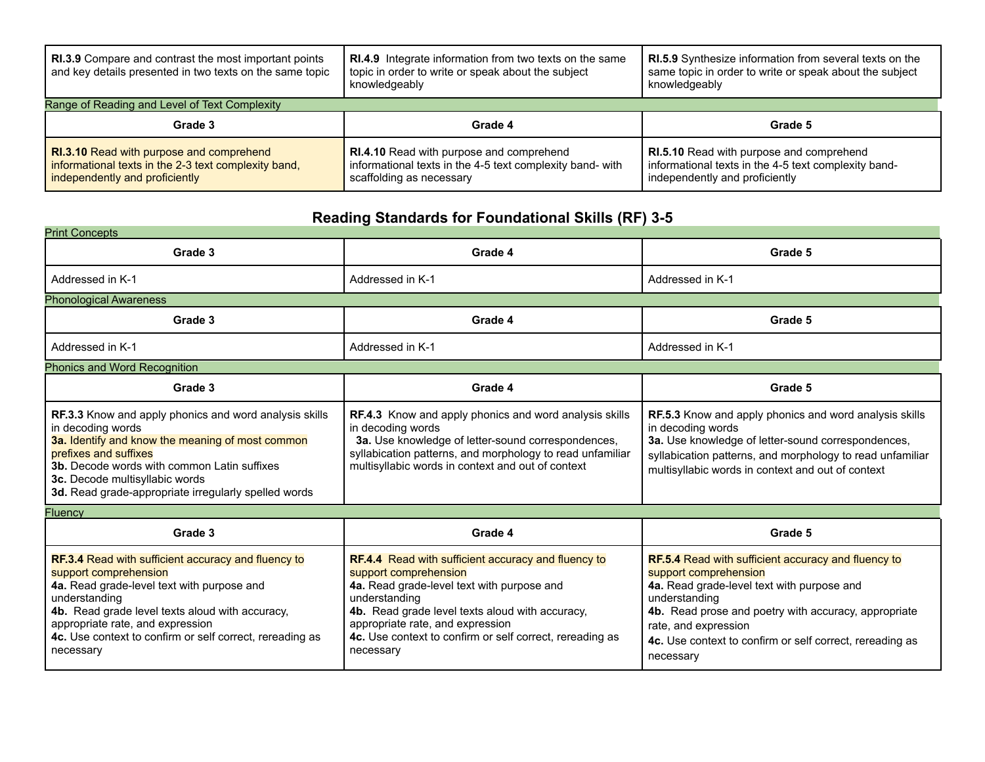| <b>RI.3.9</b> Compare and contrast the most important points<br>and key details presented in two texts on the same topic           | <b>RI.4.9</b> Integrate information from two texts on the same<br>topic in order to write or speak about the subject<br>knowledgeably    | <b>RI.5.9</b> Synthesize information from several texts on the<br>same topic in order to write or speak about the subject<br>knowledgeably |
|------------------------------------------------------------------------------------------------------------------------------------|------------------------------------------------------------------------------------------------------------------------------------------|--------------------------------------------------------------------------------------------------------------------------------------------|
| Range of Reading and Level of Text Complexity                                                                                      |                                                                                                                                          |                                                                                                                                            |
| Grade 3                                                                                                                            | Grade 4                                                                                                                                  | Grade 5                                                                                                                                    |
| RI.3.10 Read with purpose and comprehend<br>informational texts in the 2-3 text complexity band,<br>independently and proficiently | <b>RI.4.10</b> Read with purpose and comprehend<br>informational texts in the 4-5 text complexity band- with<br>scaffolding as necessary | <b>RI.5.10</b> Read with purpose and comprehend<br>informational texts in the 4-5 text complexity band-<br>independently and proficiently  |

# **Reading Standards for Foundational Skills (RF) 3-5**

| <b>Print Concepts</b>                                                                                                                                                                                                                                                                                           |                                                                                                                                                                                                                                                            |                                                                                                                                                                                                                                                            |  |
|-----------------------------------------------------------------------------------------------------------------------------------------------------------------------------------------------------------------------------------------------------------------------------------------------------------------|------------------------------------------------------------------------------------------------------------------------------------------------------------------------------------------------------------------------------------------------------------|------------------------------------------------------------------------------------------------------------------------------------------------------------------------------------------------------------------------------------------------------------|--|
| Grade 3                                                                                                                                                                                                                                                                                                         | Grade 4                                                                                                                                                                                                                                                    | Grade 5                                                                                                                                                                                                                                                    |  |
| Addressed in K-1                                                                                                                                                                                                                                                                                                | Addressed in K-1                                                                                                                                                                                                                                           | Addressed in K-1                                                                                                                                                                                                                                           |  |
| <b>Phonological Awareness</b>                                                                                                                                                                                                                                                                                   |                                                                                                                                                                                                                                                            |                                                                                                                                                                                                                                                            |  |
| Grade 3                                                                                                                                                                                                                                                                                                         | Grade 4                                                                                                                                                                                                                                                    | Grade 5                                                                                                                                                                                                                                                    |  |
| Addressed in K-1                                                                                                                                                                                                                                                                                                | Addressed in K-1                                                                                                                                                                                                                                           | Addressed in K-1                                                                                                                                                                                                                                           |  |
| <b>Phonics and Word Recognition</b>                                                                                                                                                                                                                                                                             |                                                                                                                                                                                                                                                            |                                                                                                                                                                                                                                                            |  |
| Grade 3                                                                                                                                                                                                                                                                                                         | Grade 4                                                                                                                                                                                                                                                    | Grade 5                                                                                                                                                                                                                                                    |  |
| <b>RF.3.3</b> Know and apply phonics and word analysis skills<br>in decoding words<br>3a. Identify and know the meaning of most common<br>prefixes and suffixes<br><b>3b.</b> Decode words with common Latin suffixes<br>3c. Decode multisyllabic words<br>3d. Read grade-appropriate irregularly spelled words | <b>RF.4.3</b> Know and apply phonics and word analysis skills<br>in decoding words<br>3a. Use knowledge of letter-sound correspondences,<br>syllabication patterns, and morphology to read unfamiliar<br>multisyllabic words in context and out of context | <b>RF.5.3</b> Know and apply phonics and word analysis skills<br>in decoding words<br>3a. Use knowledge of letter-sound correspondences,<br>syllabication patterns, and morphology to read unfamiliar<br>multisyllabic words in context and out of context |  |

| <b>Fluency</b> |
|----------------|
|----------------|

| Grade 3                                                    | Grade 4                                                    | Grade 5                                                  |
|------------------------------------------------------------|------------------------------------------------------------|----------------------------------------------------------|
| <b>RF.3.4</b> Read with sufficient accuracy and fluency to | <b>RF.4.4</b> Read with sufficient accuracy and fluency to | RF.5.4 Read with sufficient accuracy and fluency to      |
| support comprehension                                      | support comprehension                                      | support comprehension                                    |
| 4a. Read grade-level text with purpose and                 | 4a. Read grade-level text with purpose and                 | 4a. Read grade-level text with purpose and               |
| understanding                                              | understanding                                              | understanding                                            |
| 4b. Read grade level texts aloud with accuracy,            | 4b. Read grade level texts aloud with accuracy,            | 4b. Read prose and poetry with accuracy, appropriate     |
| appropriate rate, and expression                           | appropriate rate, and expression                           | rate, and expression                                     |
| 4c. Use context to confirm or self correct, rereading as   | 4c. Use context to confirm or self correct, rereading as   | 4c. Use context to confirm or self correct, rereading as |
| necessary                                                  | necessary                                                  | necessary                                                |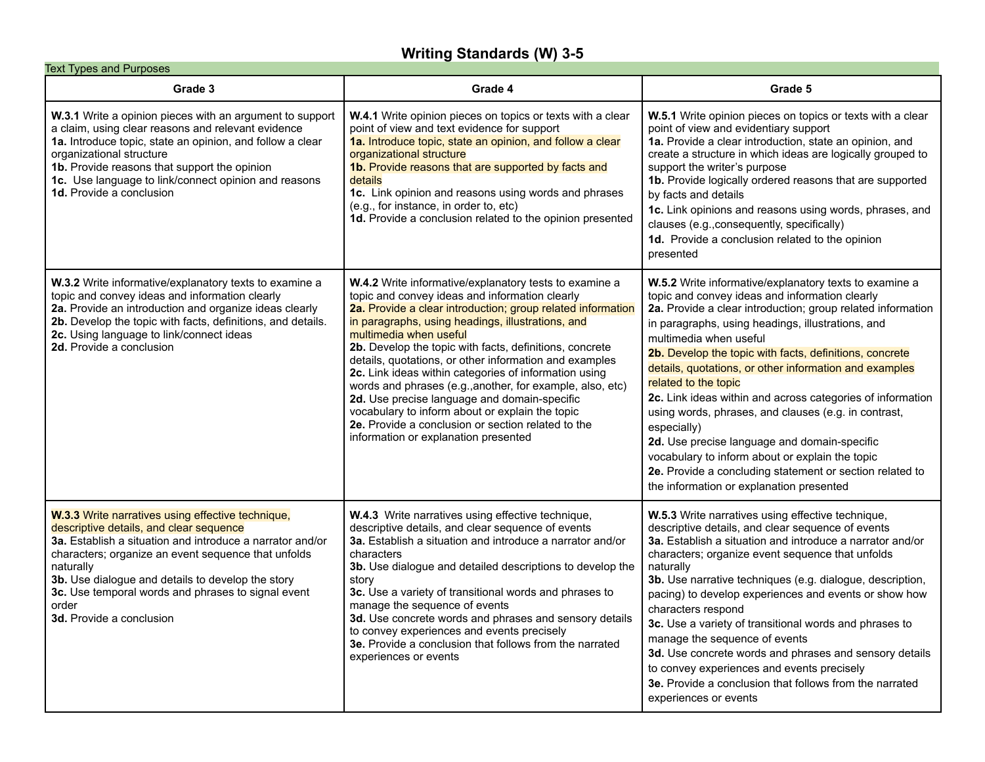### **Writing Standards (W) 3-5**

| <b>Text Types and Purposes</b>                                                                                                                                                                                                                                                                                                                                                |                                                                                                                                                                                                                                                                                                                                                                                                                                                                                                                                                                                                                                                                                                    |                                                                                                                                                                                                                                                                                                                                                                                                                                                                                                                                                                                                                                                                                                                                                     |  |
|-------------------------------------------------------------------------------------------------------------------------------------------------------------------------------------------------------------------------------------------------------------------------------------------------------------------------------------------------------------------------------|----------------------------------------------------------------------------------------------------------------------------------------------------------------------------------------------------------------------------------------------------------------------------------------------------------------------------------------------------------------------------------------------------------------------------------------------------------------------------------------------------------------------------------------------------------------------------------------------------------------------------------------------------------------------------------------------------|-----------------------------------------------------------------------------------------------------------------------------------------------------------------------------------------------------------------------------------------------------------------------------------------------------------------------------------------------------------------------------------------------------------------------------------------------------------------------------------------------------------------------------------------------------------------------------------------------------------------------------------------------------------------------------------------------------------------------------------------------------|--|
| Grade 3                                                                                                                                                                                                                                                                                                                                                                       | Grade 4                                                                                                                                                                                                                                                                                                                                                                                                                                                                                                                                                                                                                                                                                            | Grade 5                                                                                                                                                                                                                                                                                                                                                                                                                                                                                                                                                                                                                                                                                                                                             |  |
| W.3.1 Write a opinion pieces with an argument to support<br>a claim, using clear reasons and relevant evidence<br>1a. Introduce topic, state an opinion, and follow a clear<br>organizational structure<br>1b. Provide reasons that support the opinion<br>1c. Use language to link/connect opinion and reasons<br>1d. Provide a conclusion                                   | <b>W.4.1</b> Write opinion pieces on topics or texts with a clear<br>point of view and text evidence for support<br>1a. Introduce topic, state an opinion, and follow a clear<br>organizational structure<br>1b. Provide reasons that are supported by facts and<br>details<br>1c. Link opinion and reasons using words and phrases<br>(e.g., for instance, in order to, etc)<br>1d. Provide a conclusion related to the opinion presented                                                                                                                                                                                                                                                         | W.5.1 Write opinion pieces on topics or texts with a clear<br>point of view and evidentiary support<br>1a. Provide a clear introduction, state an opinion, and<br>create a structure in which ideas are logically grouped to<br>support the writer's purpose<br>1b. Provide logically ordered reasons that are supported<br>by facts and details<br>1c. Link opinions and reasons using words, phrases, and<br>clauses (e.g., consequently, specifically)<br>1d. Provide a conclusion related to the opinion<br>presented                                                                                                                                                                                                                           |  |
| W.3.2 Write informative/explanatory texts to examine a<br>topic and convey ideas and information clearly<br>2a. Provide an introduction and organize ideas clearly<br>2b. Develop the topic with facts, definitions, and details.<br>2c. Using language to link/connect ideas<br>2d. Provide a conclusion                                                                     | W.4.2 Write informative/explanatory tests to examine a<br>topic and convey ideas and information clearly<br>2a. Provide a clear introduction; group related information<br>in paragraphs, using headings, illustrations, and<br>multimedia when useful<br>2b. Develop the topic with facts, definitions, concrete<br>details, quotations, or other information and examples<br>2c. Link ideas within categories of information using<br>words and phrases (e.g., another, for example, also, etc)<br>2d. Use precise language and domain-specific<br>vocabulary to inform about or explain the topic<br>2e. Provide a conclusion or section related to the<br>information or explanation presented | W.5.2 Write informative/explanatory texts to examine a<br>topic and convey ideas and information clearly<br>2a. Provide a clear introduction; group related information<br>in paragraphs, using headings, illustrations, and<br>multimedia when useful<br>2b. Develop the topic with facts, definitions, concrete<br>details, quotations, or other information and examples<br>related to the topic<br>2c. Link ideas within and across categories of information<br>using words, phrases, and clauses (e.g. in contrast,<br>especially)<br>2d. Use precise language and domain-specific<br>vocabulary to inform about or explain the topic<br>2e. Provide a concluding statement or section related to<br>the information or explanation presented |  |
| W.3.3 Write narratives using effective technique,<br>descriptive details, and clear sequence<br>3a. Establish a situation and introduce a narrator and/or<br>characters; organize an event sequence that unfolds<br>naturally<br>3b. Use dialogue and details to develop the story<br>3c. Use temporal words and phrases to signal event<br>order<br>3d. Provide a conclusion | W.4.3 Write narratives using effective technique,<br>descriptive details, and clear sequence of events<br>3a. Establish a situation and introduce a narrator and/or<br>characters<br>3b. Use dialogue and detailed descriptions to develop the<br>story<br>3c. Use a variety of transitional words and phrases to<br>manage the sequence of events<br>3d. Use concrete words and phrases and sensory details<br>to convey experiences and events precisely<br>3e. Provide a conclusion that follows from the narrated<br>experiences or events                                                                                                                                                     | W.5.3 Write narratives using effective technique,<br>descriptive details, and clear sequence of events<br>3a. Establish a situation and introduce a narrator and/or<br>characters; organize event sequence that unfolds<br>naturally<br>3b. Use narrative techniques (e.g. dialogue, description,<br>pacing) to develop experiences and events or show how<br>characters respond<br>3c. Use a variety of transitional words and phrases to<br>manage the sequence of events<br>3d. Use concrete words and phrases and sensory details<br>to convey experiences and events precisely<br>3e. Provide a conclusion that follows from the narrated<br>experiences or events                                                                             |  |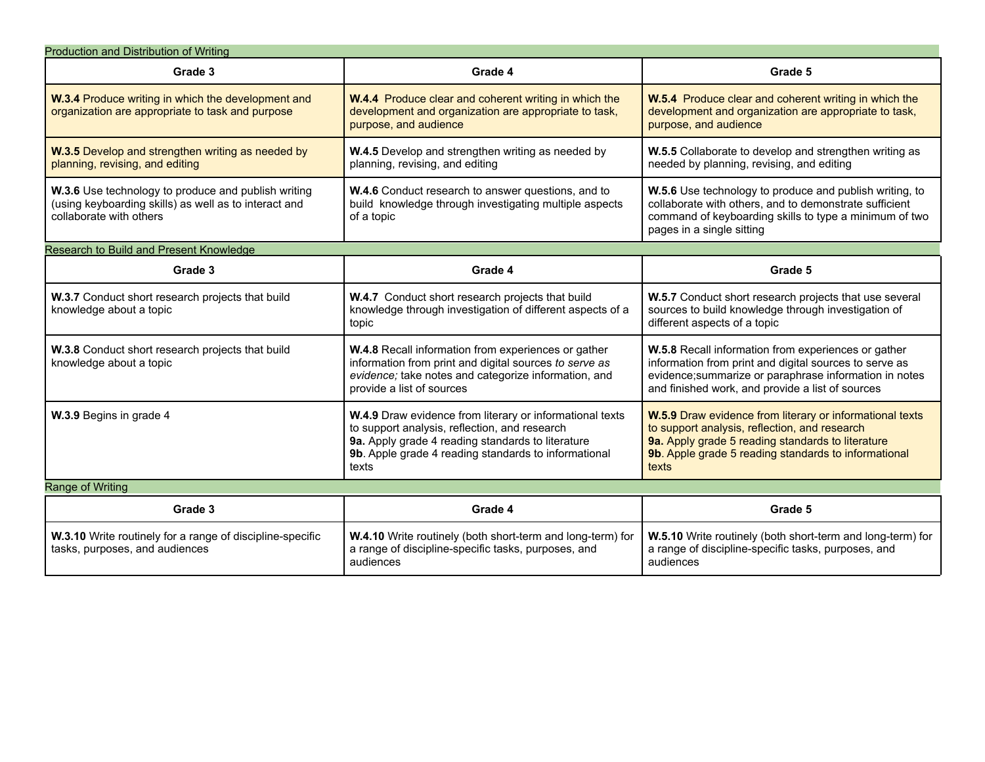| Production and Distribution of Writing                                                                                                  |                                                                                                                                                                                                                                 |                                                                                                                                                                                                                                 |
|-----------------------------------------------------------------------------------------------------------------------------------------|---------------------------------------------------------------------------------------------------------------------------------------------------------------------------------------------------------------------------------|---------------------------------------------------------------------------------------------------------------------------------------------------------------------------------------------------------------------------------|
| Grade 3                                                                                                                                 | Grade 4                                                                                                                                                                                                                         | Grade 5                                                                                                                                                                                                                         |
| W.3.4 Produce writing in which the development and<br>organization are appropriate to task and purpose                                  | <b>W.4.4</b> Produce clear and coherent writing in which the<br>development and organization are appropriate to task,<br>purpose, and audience                                                                                  | W.5.4 Produce clear and coherent writing in which the<br>development and organization are appropriate to task,<br>purpose, and audience                                                                                         |
| W.3.5 Develop and strengthen writing as needed by<br>planning, revising, and editing                                                    | W.4.5 Develop and strengthen writing as needed by<br>planning, revising, and editing                                                                                                                                            | W.5.5 Collaborate to develop and strengthen writing as<br>needed by planning, revising, and editing                                                                                                                             |
| W.3.6 Use technology to produce and publish writing<br>(using keyboarding skills) as well as to interact and<br>collaborate with others | W.4.6 Conduct research to answer questions, and to<br>build knowledge through investigating multiple aspects<br>of a topic                                                                                                      | W.5.6 Use technology to produce and publish writing, to<br>collaborate with others, and to demonstrate sufficient<br>command of keyboarding skills to type a minimum of two<br>pages in a single sitting                        |
| Research to Build and Present Knowledge                                                                                                 |                                                                                                                                                                                                                                 |                                                                                                                                                                                                                                 |
| Grade 3                                                                                                                                 | Grade 4                                                                                                                                                                                                                         | Grade 5                                                                                                                                                                                                                         |
| W.3.7 Conduct short research projects that build<br>knowledge about a topic                                                             | W.4.7 Conduct short research projects that build<br>knowledge through investigation of different aspects of a<br>topic                                                                                                          | W.5.7 Conduct short research projects that use several<br>sources to build knowledge through investigation of<br>different aspects of a topic                                                                                   |
| W.3.8 Conduct short research projects that build<br>knowledge about a topic                                                             | W.4.8 Recall information from experiences or gather<br>information from print and digital sources to serve as<br>evidence; take notes and categorize information, and<br>provide a list of sources                              | W.5.8 Recall information from experiences or gather<br>information from print and digital sources to serve as<br>evidence; summarize or paraphrase information in notes<br>and finished work, and provide a list of sources     |
| W.3.9 Begins in grade 4                                                                                                                 | W.4.9 Draw evidence from literary or informational texts<br>to support analysis, reflection, and research<br>9a. Apply grade 4 reading standards to literature<br>9b. Apple grade 4 reading standards to informational<br>texts | W.5.9 Draw evidence from literary or informational texts<br>to support analysis, reflection, and research<br>9a. Apply grade 5 reading standards to literature<br>9b. Apple grade 5 reading standards to informational<br>texts |
| Range of Writing                                                                                                                        |                                                                                                                                                                                                                                 |                                                                                                                                                                                                                                 |
| Grade 3                                                                                                                                 | Grade 4                                                                                                                                                                                                                         | Grade 5                                                                                                                                                                                                                         |
| W.3.10 Write routinely for a range of discipline-specific<br>tasks, purposes, and audiences                                             | W.4.10 Write routinely (both short-term and long-term) for<br>a range of discipline-specific tasks, purposes, and<br>audiences                                                                                                  | W.5.10 Write routinely (both short-term and long-term) for<br>a range of discipline-specific tasks, purposes, and<br>audiences                                                                                                  |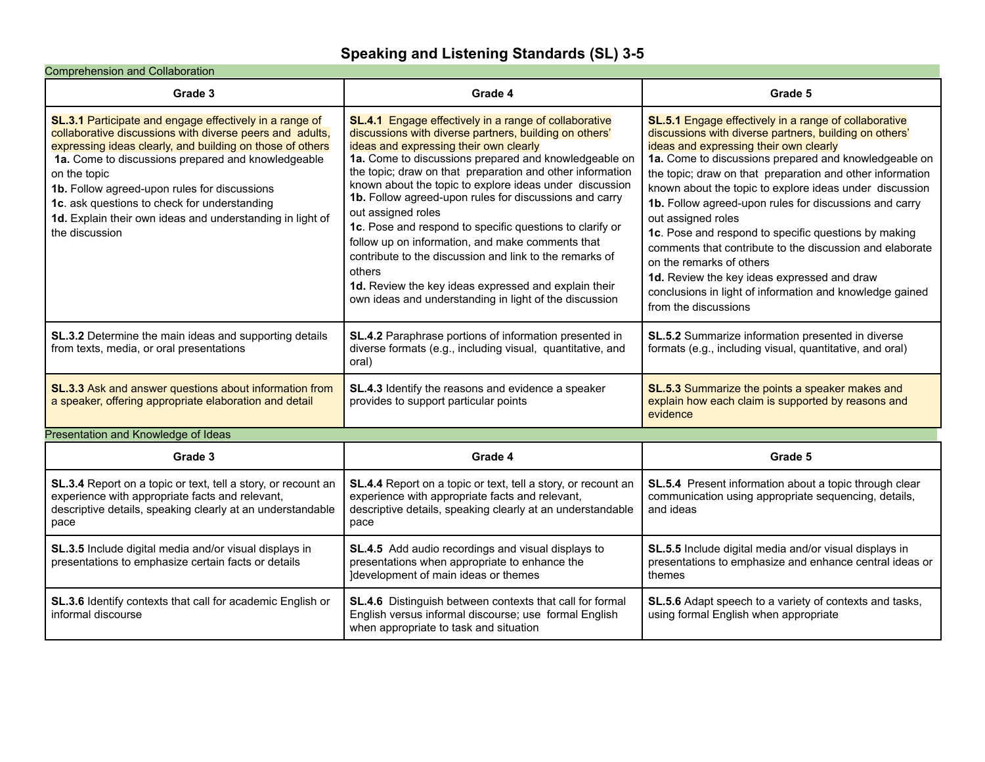## **Speaking and Listening Standards (SL) 3-5**

#### Comprehension and Collaboration

| Grade 3                                                                                                                                                                                                                                                                                                                                                                                                                               | Grade 4                                                                                                                                                                                                                                                                                                                                                                                                                                                                                                                                                                                                                                                                                                                                  | Grade 5                                                                                                                                                                                                                                                                                                                                                                                                                                                                                                                                                                                                                                                                                                              |
|---------------------------------------------------------------------------------------------------------------------------------------------------------------------------------------------------------------------------------------------------------------------------------------------------------------------------------------------------------------------------------------------------------------------------------------|------------------------------------------------------------------------------------------------------------------------------------------------------------------------------------------------------------------------------------------------------------------------------------------------------------------------------------------------------------------------------------------------------------------------------------------------------------------------------------------------------------------------------------------------------------------------------------------------------------------------------------------------------------------------------------------------------------------------------------------|----------------------------------------------------------------------------------------------------------------------------------------------------------------------------------------------------------------------------------------------------------------------------------------------------------------------------------------------------------------------------------------------------------------------------------------------------------------------------------------------------------------------------------------------------------------------------------------------------------------------------------------------------------------------------------------------------------------------|
| SL.3.1 Participate and engage effectively in a range of<br>collaborative discussions with diverse peers and adults,<br>expressing ideas clearly, and building on those of others<br>1a. Come to discussions prepared and knowledgeable<br>on the topic<br>1b. Follow agreed-upon rules for discussions<br>1c. ask questions to check for understanding<br>1d. Explain their own ideas and understanding in light of<br>the discussion | <b>SL.4.1</b> Engage effectively in a range of collaborative<br>discussions with diverse partners, building on others'<br>ideas and expressing their own clearly<br>1a. Come to discussions prepared and knowledgeable on<br>the topic; draw on that preparation and other information<br>known about the topic to explore ideas under discussion<br>1b. Follow agreed-upon rules for discussions and carry<br>out assigned roles<br>1c. Pose and respond to specific questions to clarify or<br>follow up on information, and make comments that<br>contribute to the discussion and link to the remarks of<br>others<br>1d. Review the key ideas expressed and explain their<br>own ideas and understanding in light of the discussion | <b>SL.5.1</b> Engage effectively in a range of collaborative<br>discussions with diverse partners, building on others'<br>ideas and expressing their own clearly<br>1a. Come to discussions prepared and knowledgeable on<br>the topic; draw on that preparation and other information<br>known about the topic to explore ideas under discussion<br>1b. Follow agreed-upon rules for discussions and carry<br>out assigned roles<br>1c. Pose and respond to specific questions by making<br>comments that contribute to the discussion and elaborate<br>on the remarks of others<br>1d. Review the key ideas expressed and draw<br>conclusions in light of information and knowledge gained<br>from the discussions |
| SL.3.2 Determine the main ideas and supporting details<br>from texts, media, or oral presentations                                                                                                                                                                                                                                                                                                                                    | SL.4.2 Paraphrase portions of information presented in<br>diverse formats (e.g., including visual, quantitative, and<br>oral)                                                                                                                                                                                                                                                                                                                                                                                                                                                                                                                                                                                                            | SL.5.2 Summarize information presented in diverse<br>formats (e.g., including visual, quantitative, and oral)                                                                                                                                                                                                                                                                                                                                                                                                                                                                                                                                                                                                        |
| SL.3.3 Ask and answer questions about information from<br>a speaker, offering appropriate elaboration and detail                                                                                                                                                                                                                                                                                                                      | SL.4.3 Identify the reasons and evidence a speaker<br>provides to support particular points                                                                                                                                                                                                                                                                                                                                                                                                                                                                                                                                                                                                                                              | SL.5.3 Summarize the points a speaker makes and<br>explain how each claim is supported by reasons and<br>evidence                                                                                                                                                                                                                                                                                                                                                                                                                                                                                                                                                                                                    |
| Presentation and Knowledge of Ideas                                                                                                                                                                                                                                                                                                                                                                                                   |                                                                                                                                                                                                                                                                                                                                                                                                                                                                                                                                                                                                                                                                                                                                          |                                                                                                                                                                                                                                                                                                                                                                                                                                                                                                                                                                                                                                                                                                                      |
| Grade 3                                                                                                                                                                                                                                                                                                                                                                                                                               | Grade 4                                                                                                                                                                                                                                                                                                                                                                                                                                                                                                                                                                                                                                                                                                                                  | Grade 5                                                                                                                                                                                                                                                                                                                                                                                                                                                                                                                                                                                                                                                                                                              |
| SL.3.4 Report on a topic or text, tell a story, or recount an<br>experience with appropriate facts and relevant,<br>descriptive details, speaking clearly at an understandable<br>pace                                                                                                                                                                                                                                                | SL.4.4 Report on a topic or text, tell a story, or recount an<br>experience with appropriate facts and relevant,<br>descriptive details, speaking clearly at an understandable<br>pace                                                                                                                                                                                                                                                                                                                                                                                                                                                                                                                                                   | SL.5.4 Present information about a topic through clear<br>communication using appropriate sequencing, details,<br>and ideas                                                                                                                                                                                                                                                                                                                                                                                                                                                                                                                                                                                          |
| SL.3.5 Include digital media and/or visual displays in<br>presentations to emphasize certain facts or details                                                                                                                                                                                                                                                                                                                         | SL.4.5 Add audio recordings and visual displays to<br>presentations when appropriate to enhance the<br>Idevelopment of main ideas or themes                                                                                                                                                                                                                                                                                                                                                                                                                                                                                                                                                                                              | SL.5.5 Include digital media and/or visual displays in<br>presentations to emphasize and enhance central ideas or<br>themes                                                                                                                                                                                                                                                                                                                                                                                                                                                                                                                                                                                          |
| SL.3.6 Identify contexts that call for academic English or<br>informal discourse                                                                                                                                                                                                                                                                                                                                                      | <b>SL.4.6</b> Distinguish between contexts that call for formal<br>English versus informal discourse; use formal English<br>when appropriate to task and situation                                                                                                                                                                                                                                                                                                                                                                                                                                                                                                                                                                       | SL.5.6 Adapt speech to a variety of contexts and tasks,<br>using formal English when appropriate                                                                                                                                                                                                                                                                                                                                                                                                                                                                                                                                                                                                                     |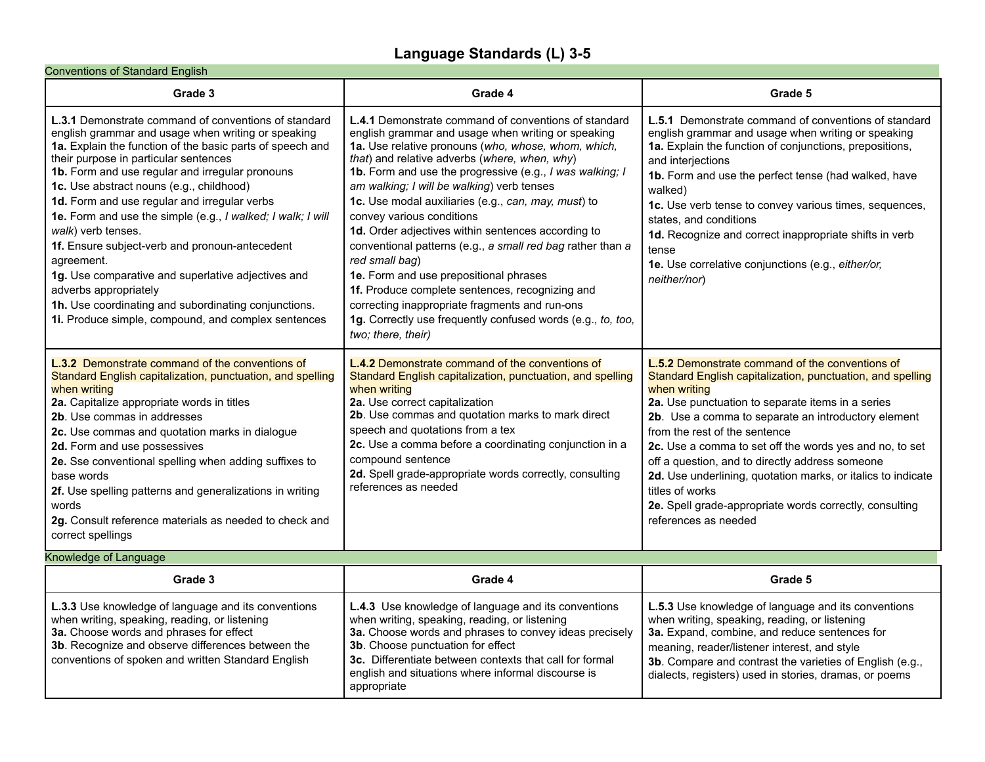## **Language Standards (L) 3-5**

#### Conventions of Standard English

| Grade 3                                                                                                                                                                                                                                                                                                                                                                                                                                                                                                                                                                                                                                                                                                                  | Grade 4                                                                                                                                                                                                                                                                                                                                                                                                                                                                                                                                                                                                                                                                                                                                                                                           | Grade 5                                                                                                                                                                                                                                                                                                                                                                                                                                                                                                                                                               |
|--------------------------------------------------------------------------------------------------------------------------------------------------------------------------------------------------------------------------------------------------------------------------------------------------------------------------------------------------------------------------------------------------------------------------------------------------------------------------------------------------------------------------------------------------------------------------------------------------------------------------------------------------------------------------------------------------------------------------|---------------------------------------------------------------------------------------------------------------------------------------------------------------------------------------------------------------------------------------------------------------------------------------------------------------------------------------------------------------------------------------------------------------------------------------------------------------------------------------------------------------------------------------------------------------------------------------------------------------------------------------------------------------------------------------------------------------------------------------------------------------------------------------------------|-----------------------------------------------------------------------------------------------------------------------------------------------------------------------------------------------------------------------------------------------------------------------------------------------------------------------------------------------------------------------------------------------------------------------------------------------------------------------------------------------------------------------------------------------------------------------|
| <b>L.3.1</b> Demonstrate command of conventions of standard<br>english grammar and usage when writing or speaking<br>1a. Explain the function of the basic parts of speech and<br>their purpose in particular sentences<br>1b. Form and use regular and irregular pronouns<br>1c. Use abstract nouns (e.g., childhood)<br>1d. Form and use regular and irregular verbs<br>1e. Form and use the simple (e.g., I walked; I walk; I will<br>walk) verb tenses.<br>1f. Ensure subject-verb and pronoun-antecedent<br>agreement.<br>1g. Use comparative and superlative adjectives and<br>adverbs appropriately<br>1h. Use coordinating and subordinating conjunctions.<br>1. Produce simple, compound, and complex sentences | <b>L.4.1</b> Demonstrate command of conventions of standard<br>english grammar and usage when writing or speaking<br>1a. Use relative pronouns (who, whose, whom, which,<br>that) and relative adverbs (where, when, why)<br>1b. Form and use the progressive (e.g., I was walking; I<br>am walking; I will be walking) verb tenses<br>1c. Use modal auxiliaries (e.g., can, may, must) to<br>convey various conditions<br>1d. Order adjectives within sentences according to<br>conventional patterns (e.g., a small red bag rather than a<br>red small bag)<br>1e. Form and use prepositional phrases<br>1f. Produce complete sentences, recognizing and<br>correcting inappropriate fragments and run-ons<br>1g. Correctly use frequently confused words (e.g., to, too,<br>two; there, their) | <b>L.5.1</b> Demonstrate command of conventions of standard<br>english grammar and usage when writing or speaking<br>1a. Explain the function of conjunctions, prepositions,<br>and interjections<br>1b. Form and use the perfect tense (had walked, have<br>walked)<br>1c. Use verb tense to convey various times, sequences,<br>states, and conditions<br>1d. Recognize and correct inappropriate shifts in verb<br>tense<br>1e. Use correlative conjunctions (e.g., either/or,<br>neither/nor)                                                                     |
| L.3.2 Demonstrate command of the conventions of<br>Standard English capitalization, punctuation, and spelling<br>when writing<br>2a. Capitalize appropriate words in titles<br>2b. Use commas in addresses<br>2c. Use commas and quotation marks in dialogue<br>2d. Form and use possessives<br>2e. Sse conventional spelling when adding suffixes to<br>base words<br>2f. Use spelling patterns and generalizations in writing<br>words<br>2g. Consult reference materials as needed to check and<br>correct spellings<br>Knowledge of Language                                                                                                                                                                         | <b>L.4.2</b> Demonstrate command of the conventions of<br>Standard English capitalization, punctuation, and spelling<br>when writing<br>2a. Use correct capitalization<br>2b. Use commas and quotation marks to mark direct<br>speech and quotations from a tex<br>2c. Use a comma before a coordinating conjunction in a<br>compound sentence<br>2d. Spell grade-appropriate words correctly, consulting<br>references as needed                                                                                                                                                                                                                                                                                                                                                                 | <b>L.5.2</b> Demonstrate command of the conventions of<br>Standard English capitalization, punctuation, and spelling<br>when writing<br>2a. Use punctuation to separate items in a series<br>2b. Use a comma to separate an introductory element<br>from the rest of the sentence<br>2c. Use a comma to set off the words yes and no, to set<br>off a question, and to directly address someone<br>2d. Use underlining, quotation marks, or italics to indicate<br>titles of works<br>2e. Spell grade-appropriate words correctly, consulting<br>references as needed |

| Grade 3                                                                                                                                                                                                                                                    | Grade 4                                                                                                                                                                                                                                                                                                                                           | Grade 5                                                                                                                                                                                                                                                                                                                            |
|------------------------------------------------------------------------------------------------------------------------------------------------------------------------------------------------------------------------------------------------------------|---------------------------------------------------------------------------------------------------------------------------------------------------------------------------------------------------------------------------------------------------------------------------------------------------------------------------------------------------|------------------------------------------------------------------------------------------------------------------------------------------------------------------------------------------------------------------------------------------------------------------------------------------------------------------------------------|
| L.3.3 Use knowledge of language and its conventions<br>when writing, speaking, reading, or listening<br>3a. Choose words and phrases for effect<br>3b. Recognize and observe differences between the<br>conventions of spoken and written Standard English | <b>L.4.3</b> Use knowledge of language and its conventions<br>when writing, speaking, reading, or listening<br>3a. Choose words and phrases to convey ideas precisely<br>3b. Choose punctuation for effect<br><b>3c.</b> Differentiate between contexts that call for formal<br>english and situations where informal discourse is<br>appropriate | <b>L.5.3</b> Use knowledge of language and its conventions<br>when writing, speaking, reading, or listening<br>3a. Expand, combine, and reduce sentences for<br>meaning, reader/listener interest, and style<br>3b. Compare and contrast the varieties of English (e.g.,<br>dialects, registers) used in stories, dramas, or poems |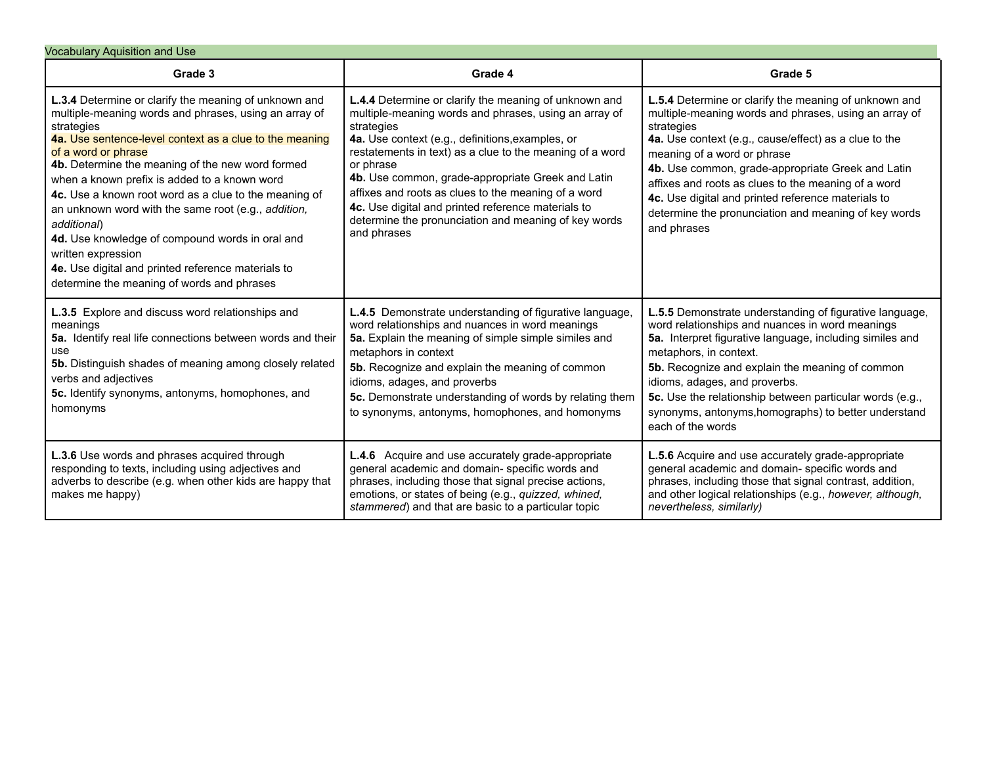| <b>Vocabulary Aquisition and Use</b>                                                                                                                                                                                                                                                                                                                                                                                                                                                                                                                                                                                           |                                                                                                                                                                                                                                                                                                                                                                                                                                                                                                    |                                                                                                                                                                                                                                                                                                                                                                                                                                                               |
|--------------------------------------------------------------------------------------------------------------------------------------------------------------------------------------------------------------------------------------------------------------------------------------------------------------------------------------------------------------------------------------------------------------------------------------------------------------------------------------------------------------------------------------------------------------------------------------------------------------------------------|----------------------------------------------------------------------------------------------------------------------------------------------------------------------------------------------------------------------------------------------------------------------------------------------------------------------------------------------------------------------------------------------------------------------------------------------------------------------------------------------------|---------------------------------------------------------------------------------------------------------------------------------------------------------------------------------------------------------------------------------------------------------------------------------------------------------------------------------------------------------------------------------------------------------------------------------------------------------------|
| Grade 3                                                                                                                                                                                                                                                                                                                                                                                                                                                                                                                                                                                                                        | Grade 4                                                                                                                                                                                                                                                                                                                                                                                                                                                                                            | Grade 5                                                                                                                                                                                                                                                                                                                                                                                                                                                       |
| L.3.4 Determine or clarify the meaning of unknown and<br>multiple-meaning words and phrases, using an array of<br>strategies<br>4a. Use sentence-level context as a clue to the meaning<br>of a word or phrase<br>4b. Determine the meaning of the new word formed<br>when a known prefix is added to a known word<br>4c. Use a known root word as a clue to the meaning of<br>an unknown word with the same root (e.g., addition,<br>additional)<br>4d. Use knowledge of compound words in oral and<br>written expression<br>4e. Use digital and printed reference materials to<br>determine the meaning of words and phrases | L.4.4 Determine or clarify the meaning of unknown and<br>multiple-meaning words and phrases, using an array of<br>strategies<br>4a. Use context (e.g., definitions, examples, or<br>restatements in text) as a clue to the meaning of a word<br>or phrase<br>4b. Use common, grade-appropriate Greek and Latin<br>affixes and roots as clues to the meaning of a word<br>4c. Use digital and printed reference materials to<br>determine the pronunciation and meaning of key words<br>and phrases | L.5.4 Determine or clarify the meaning of unknown and<br>multiple-meaning words and phrases, using an array of<br>strategies<br>4a. Use context (e.g., cause/effect) as a clue to the<br>meaning of a word or phrase<br>4b. Use common, grade-appropriate Greek and Latin<br>affixes and roots as clues to the meaning of a word<br>4c. Use digital and printed reference materials to<br>determine the pronunciation and meaning of key words<br>and phrases |
| L.3.5 Explore and discuss word relationships and<br>meanings<br>5a. Identify real life connections between words and their<br>use<br>5b. Distinguish shades of meaning among closely related<br>verbs and adjectives<br>5c. Identify synonyms, antonyms, homophones, and<br>homonyms                                                                                                                                                                                                                                                                                                                                           | L.4.5 Demonstrate understanding of figurative language,<br>word relationships and nuances in word meanings<br>5a. Explain the meaning of simple simple similes and<br>metaphors in context<br>5b. Recognize and explain the meaning of common<br>idioms, adages, and proverbs<br>5c. Demonstrate understanding of words by relating them<br>to synonyms, antonyms, homophones, and homonyms                                                                                                        | L.5.5 Demonstrate understanding of figurative language,<br>word relationships and nuances in word meanings<br>5a. Interpret figurative language, including similes and<br>metaphors, in context.<br>5b. Recognize and explain the meaning of common<br>idioms, adages, and proverbs.<br>5c. Use the relationship between particular words (e.g.,<br>synonyms, antonyms, homographs) to better understand<br>each of the words                                 |
| L.3.6 Use words and phrases acquired through<br>responding to texts, including using adjectives and<br>adverbs to describe (e.g. when other kids are happy that<br>makes me happy)                                                                                                                                                                                                                                                                                                                                                                                                                                             | <b>L.4.6</b> Acquire and use accurately grade-appropriate<br>general academic and domain- specific words and<br>phrases, including those that signal precise actions,<br>emotions, or states of being (e.g., quizzed, whined,<br>stammered) and that are basic to a particular topic                                                                                                                                                                                                               | <b>L.5.6</b> Acquire and use accurately grade-appropriate<br>general academic and domain- specific words and<br>phrases, including those that signal contrast, addition,<br>and other logical relationships (e.g., however, although,<br>nevertheless, similarly)                                                                                                                                                                                             |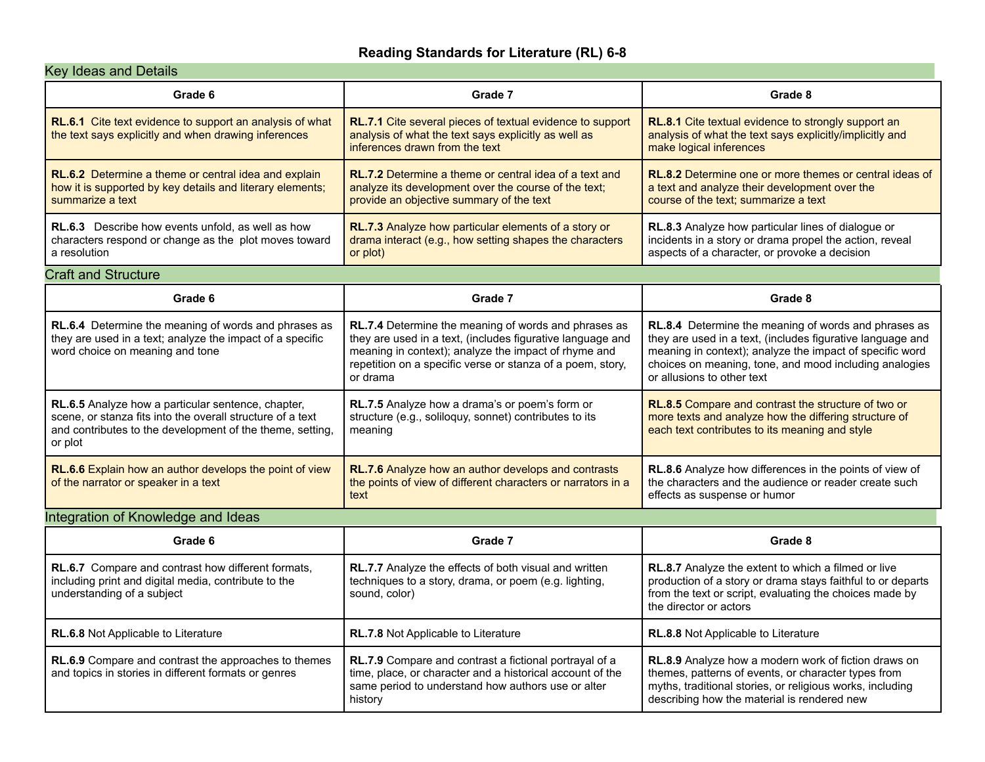#### **Reading Standards for Literature (RL) 6-8**

### Key Ideas and Details

| Grade 6                                                                                                                                                                                  | Grade 7                                                                                                                                                                                                                                              | Grade 8                                                                                                                                                                                                                                                                |
|------------------------------------------------------------------------------------------------------------------------------------------------------------------------------------------|------------------------------------------------------------------------------------------------------------------------------------------------------------------------------------------------------------------------------------------------------|------------------------------------------------------------------------------------------------------------------------------------------------------------------------------------------------------------------------------------------------------------------------|
| <b>RL.6.1</b> Cite text evidence to support an analysis of what<br>the text says explicitly and when drawing inferences                                                                  | RL.7.1 Cite several pieces of textual evidence to support<br>analysis of what the text says explicitly as well as<br>inferences drawn from the text                                                                                                  | RL.8.1 Cite textual evidence to strongly support an<br>analysis of what the text says explicitly/implicitly and<br>make logical inferences                                                                                                                             |
| RL.6.2 Determine a theme or central idea and explain<br>how it is supported by key details and literary elements;<br>summarize a text                                                    | <b>RL.7.2</b> Determine a theme or central idea of a text and<br>analyze its development over the course of the text;<br>provide an objective summary of the text                                                                                    | RL.8.2 Determine one or more themes or central ideas of<br>a text and analyze their development over the<br>course of the text; summarize a text                                                                                                                       |
| <b>RL.6.3</b> Describe how events unfold, as well as how<br>characters respond or change as the plot moves toward<br>a resolution                                                        | RL.7.3 Analyze how particular elements of a story or<br>drama interact (e.g., how setting shapes the characters<br>or plot)                                                                                                                          | RL.8.3 Analyze how particular lines of dialogue or<br>incidents in a story or drama propel the action, reveal<br>aspects of a character, or provoke a decision                                                                                                         |
| <b>Craft and Structure</b>                                                                                                                                                               |                                                                                                                                                                                                                                                      |                                                                                                                                                                                                                                                                        |
| Grade 6                                                                                                                                                                                  | Grade 7                                                                                                                                                                                                                                              | Grade 8                                                                                                                                                                                                                                                                |
| RL.6.4 Determine the meaning of words and phrases as<br>they are used in a text; analyze the impact of a specific<br>word choice on meaning and tone                                     | RL.7.4 Determine the meaning of words and phrases as<br>they are used in a text, (includes figurative language and<br>meaning in context); analyze the impact of rhyme and<br>repetition on a specific verse or stanza of a poem, story,<br>or drama | RL.8.4 Determine the meaning of words and phrases as<br>they are used in a text, (includes figurative language and<br>meaning in context); analyze the impact of specific word<br>choices on meaning, tone, and mood including analogies<br>or allusions to other text |
| RL.6.5 Analyze how a particular sentence, chapter,<br>scene, or stanza fits into the overall structure of a text<br>and contributes to the development of the theme, setting,<br>or plot | RL.7.5 Analyze how a drama's or poem's form or<br>structure (e.g., soliloquy, sonnet) contributes to its<br>meaning                                                                                                                                  | <b>RL.8.5</b> Compare and contrast the structure of two or<br>more texts and analyze how the differing structure of<br>each text contributes to its meaning and style                                                                                                  |
| RL.6.6 Explain how an author develops the point of view<br>of the narrator or speaker in a text                                                                                          | RL.7.6 Analyze how an author develops and contrasts<br>the points of view of different characters or narrators in a<br>text                                                                                                                          | RL.8.6 Analyze how differences in the points of view of<br>the characters and the audience or reader create such<br>effects as suspense or humor                                                                                                                       |

### Integration of Knowledge and Ideas

| Grade 6                                                                                                                                         | Grade 7                                                                                                                                                                                     | Grade 8                                                                                                                                                                                                                        |
|-------------------------------------------------------------------------------------------------------------------------------------------------|---------------------------------------------------------------------------------------------------------------------------------------------------------------------------------------------|--------------------------------------------------------------------------------------------------------------------------------------------------------------------------------------------------------------------------------|
| <b>RL.6.7</b> Compare and contrast how different formats,<br>including print and digital media, contribute to the<br>understanding of a subject | <b>RL.7.7</b> Analyze the effects of both visual and written<br>techniques to a story, drama, or poem (e.g. lighting,<br>sound, color)                                                      | <b>RL.8.7</b> Analyze the extent to which a filmed or live<br>production of a story or drama stays faithful to or departs<br>from the text or script, evaluating the choices made by<br>the director or actors                 |
| <b>RL.6.8</b> Not Applicable to Literature                                                                                                      | <b>RL.7.8</b> Not Applicable to Literature                                                                                                                                                  | <b>RL.8.8</b> Not Applicable to Literature                                                                                                                                                                                     |
| RL.6.9 Compare and contrast the approaches to themes<br>and topics in stories in different formats or genres                                    | <b>RL.7.9</b> Compare and contrast a fictional portrayal of a<br>time, place, or character and a historical account of the<br>same period to understand how authors use or alter<br>history | <b>RL.8.9</b> Analyze how a modern work of fiction draws on<br>themes, patterns of events, or character types from<br>myths, traditional stories, or religious works, including<br>describing how the material is rendered new |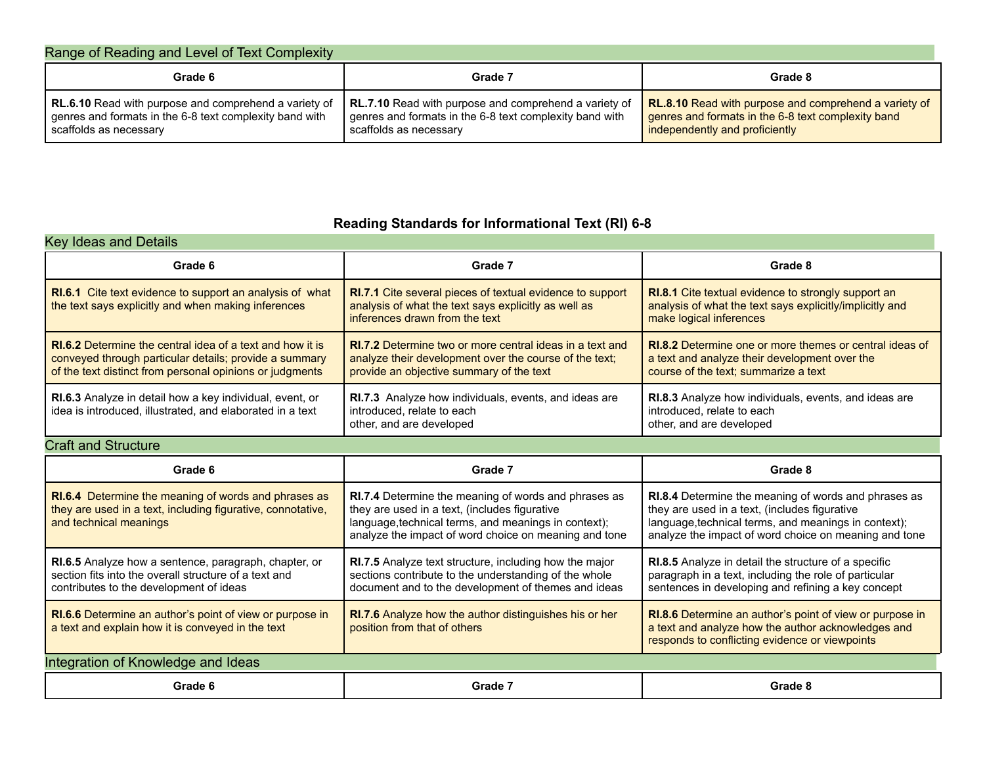| Range of Reading and Level of Text Complexity                                                                                              |                                                                                                                                            |                                                                                                                                               |
|--------------------------------------------------------------------------------------------------------------------------------------------|--------------------------------------------------------------------------------------------------------------------------------------------|-----------------------------------------------------------------------------------------------------------------------------------------------|
| Grade 6                                                                                                                                    | Grade 7                                                                                                                                    | Grade 8                                                                                                                                       |
| RL.6.10 Read with purpose and comprehend a variety of<br>genres and formats in the 6-8 text complexity band with<br>scaffolds as necessary | RL.7.10 Read with purpose and comprehend a variety of<br>genres and formats in the 6-8 text complexity band with<br>scaffolds as necessary | RL.8.10 Read with purpose and comprehend a variety of<br>genres and formats in the 6-8 text complexity band<br>independently and proficiently |

### **Reading Standards for Informational Text (RI) 6-8**

| <b>Key Ideas and Details</b>                                                                                                                                                           |                                                                                                                                                                       |                                                                                                                                                         |
|----------------------------------------------------------------------------------------------------------------------------------------------------------------------------------------|-----------------------------------------------------------------------------------------------------------------------------------------------------------------------|---------------------------------------------------------------------------------------------------------------------------------------------------------|
| Grade 6                                                                                                                                                                                | Grade 7                                                                                                                                                               | Grade 8                                                                                                                                                 |
| <b>RI.6.1</b> Cite text evidence to support an analysis of what<br>the text says explicitly and when making inferences                                                                 | <b>RI.7.1</b> Cite several pieces of textual evidence to support<br>analysis of what the text says explicitly as well as<br>inferences drawn from the text            | <b>RI.8.1</b> Cite textual evidence to strongly support an<br>analysis of what the text says explicitly/implicitly and<br>make logical inferences       |
| <b>RI.6.2</b> Determine the central idea of a text and how it is<br>conveyed through particular details; provide a summary<br>of the text distinct from personal opinions or judgments | <b>RI.7.2</b> Determine two or more central ideas in a text and<br>analyze their development over the course of the text;<br>provide an objective summary of the text | <b>RI.8.2</b> Determine one or more themes or central ideas of<br>a text and analyze their development over the<br>course of the text; summarize a text |
| <b>RI.6.3</b> Analyze in detail how a key individual, event, or<br>idea is introduced, illustrated, and elaborated in a text                                                           | <b>RI.7.3</b> Analyze how individuals, events, and ideas are<br>introduced, relate to each<br>other, and are developed                                                | <b>RI.8.3</b> Analyze how individuals, events, and ideas are<br>introduced, relate to each<br>other, and are developed                                  |

### Craft and Structure

| Grade 6                                                                                                                                                   | Grade 7                                                                                                                                                                                                                | Grade 8                                                                                                                                                                                                                |
|-----------------------------------------------------------------------------------------------------------------------------------------------------------|------------------------------------------------------------------------------------------------------------------------------------------------------------------------------------------------------------------------|------------------------------------------------------------------------------------------------------------------------------------------------------------------------------------------------------------------------|
| RI.6.4 Determine the meaning of words and phrases as<br>they are used in a text, including figurative, connotative,<br>and technical meanings             | RI.7.4 Determine the meaning of words and phrases as<br>they are used in a text, (includes figurative<br>language, technical terms, and meanings in context);<br>analyze the impact of word choice on meaning and tone | RI.8.4 Determine the meaning of words and phrases as<br>they are used in a text, (includes figurative<br>language, technical terms, and meanings in context);<br>analyze the impact of word choice on meaning and tone |
| RI.6.5 Analyze how a sentence, paragraph, chapter, or<br>section fits into the overall structure of a text and<br>contributes to the development of ideas | <b>RI.7.5</b> Analyze text structure, including how the major<br>sections contribute to the understanding of the whole<br>document and to the development of themes and ideas                                          | <b>RI.8.5</b> Analyze in detail the structure of a specific<br>paragraph in a text, including the role of particular<br>sentences in developing and refining a key concept                                             |
| <b>RI.6.6</b> Determine an author's point of view or purpose in<br>a text and explain how it is conveyed in the text                                      | <b>RI.7.6</b> Analyze how the author distinguishes his or her<br>position from that of others                                                                                                                          | <b>RI.8.6</b> Determine an author's point of view or purpose in<br>a text and analyze how the author acknowledges and<br>responds to conflicting evidence or viewpoints                                                |
| Integration of Knowledge and Ideas                                                                                                                        |                                                                                                                                                                                                                        |                                                                                                                                                                                                                        |
| Grade 6                                                                                                                                                   | Grade 7                                                                                                                                                                                                                | Grade 8                                                                                                                                                                                                                |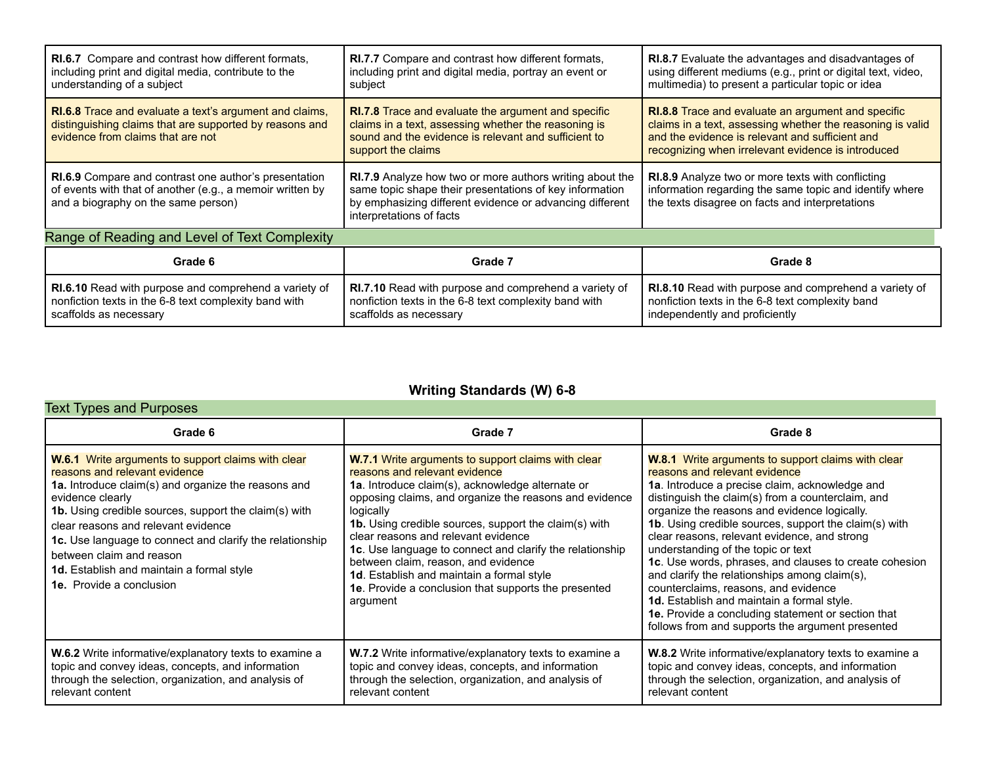| <b>RI.6.7</b> Compare and contrast how different formats.<br>including print and digital media, contribute to the<br>understanding of a subject                  | <b>RI.7.7</b> Compare and contrast how different formats.<br>including print and digital media, portray an event or<br>subject                                                                                     | <b>RI.8.7</b> Evaluate the advantages and disadvantages of<br>using different mediums (e.g., print or digital text, video,<br>multimedia) to present a particular topic or idea                                                  |
|------------------------------------------------------------------------------------------------------------------------------------------------------------------|--------------------------------------------------------------------------------------------------------------------------------------------------------------------------------------------------------------------|----------------------------------------------------------------------------------------------------------------------------------------------------------------------------------------------------------------------------------|
| <b>RI.6.8</b> Trace and evaluate a text's argument and claims,<br>distinguishing claims that are supported by reasons and<br>evidence from claims that are not   | <b>RI.7.8</b> Trace and evaluate the argument and specific<br>claims in a text, assessing whether the reasoning is<br>sound and the evidence is relevant and sufficient to<br>support the claims                   | <b>RI.8.8</b> Trace and evaluate an argument and specific<br>claims in a text, assessing whether the reasoning is valid<br>and the evidence is relevant and sufficient and<br>recognizing when irrelevant evidence is introduced |
| <b>RI.6.9</b> Compare and contrast one author's presentation<br>of events with that of another (e.g., a memoir written by<br>and a biography on the same person) | <b>RI.7.9</b> Analyze how two or more authors writing about the<br>same topic shape their presentations of key information<br>by emphasizing different evidence or advancing different<br>interpretations of facts | <b>RI.8.9</b> Analyze two or more texts with conflicting<br>information regarding the same topic and identify where<br>the texts disagree on facts and interpretations                                                           |
| Range of Reading and Level of Text Complexity                                                                                                                    |                                                                                                                                                                                                                    |                                                                                                                                                                                                                                  |
| Grade 6                                                                                                                                                          | Grade 7                                                                                                                                                                                                            | Grade 8                                                                                                                                                                                                                          |
| <b>RI.6.10</b> Read with purpose and comprehend a variety of<br>nonfiction texts in the 6-8 text complexity band with<br>scaffolds as necessary                  | <b>RI.7.10</b> Read with purpose and comprehend a variety of<br>nonfiction texts in the 6-8 text complexity band with<br>scaffolds as necessary                                                                    | RI.8.10 Read with purpose and comprehend a variety of<br>nonfiction texts in the 6-8 text complexity band<br>independently and proficiently                                                                                      |

### **Writing Standards (W) 6-8**

#### Text Types and Purposes

| Grade 6                                                                                                                                                                                                                                                                                                                                                                                                                                       | Grade 7                                                                                                                                                                                                                                                                                                                                                                                                                                                                                                                                                        | Grade 8                                                                                                                                                                                                                                                                                                                                                                                                                                                                                                                                                                                                                                                                                                            |
|-----------------------------------------------------------------------------------------------------------------------------------------------------------------------------------------------------------------------------------------------------------------------------------------------------------------------------------------------------------------------------------------------------------------------------------------------|----------------------------------------------------------------------------------------------------------------------------------------------------------------------------------------------------------------------------------------------------------------------------------------------------------------------------------------------------------------------------------------------------------------------------------------------------------------------------------------------------------------------------------------------------------------|--------------------------------------------------------------------------------------------------------------------------------------------------------------------------------------------------------------------------------------------------------------------------------------------------------------------------------------------------------------------------------------------------------------------------------------------------------------------------------------------------------------------------------------------------------------------------------------------------------------------------------------------------------------------------------------------------------------------|
| <b>W.6.1</b> Write arguments to support claims with clear<br>reasons and relevant evidence<br>1a. Introduce claim(s) and organize the reasons and<br>evidence clearly<br>1b. Using credible sources, support the claim(s) with<br>clear reasons and relevant evidence<br>1c. Use language to connect and clarify the relationship<br>between claim and reason<br>1d. Establish and maintain a formal style<br><b>1e.</b> Provide a conclusion | <b>W.7.1</b> Write arguments to support claims with clear<br>reasons and relevant evidence<br>1a. Introduce claim(s), acknowledge alternate or<br>opposing claims, and organize the reasons and evidence<br>logically<br><b>1b.</b> Using credible sources, support the claim(s) with<br>clear reasons and relevant evidence<br>1c. Use language to connect and clarify the relationship<br>between claim, reason, and evidence<br><b>1d.</b> Establish and maintain a formal style<br><b>1e.</b> Provide a conclusion that supports the presented<br>argument | <b>W.8.1</b> Write arguments to support claims with clear<br>reasons and relevant evidence<br>1a. Introduce a precise claim, acknowledge and<br>distinguish the claim(s) from a counterclaim, and<br>organize the reasons and evidence logically.<br>1b. Using credible sources, support the claim(s) with<br>clear reasons, relevant evidence, and strong<br>understanding of the topic or text<br>1c. Use words, phrases, and clauses to create cohesion<br>and clarify the relationships among claim(s),<br>counterclaims, reasons, and evidence<br>1d. Establish and maintain a formal style.<br><b>1e.</b> Provide a concluding statement or section that<br>follows from and supports the argument presented |
| <b>W.6.2</b> Write informative/explanatory texts to examine a<br>topic and convey ideas, concepts, and information<br>through the selection, organization, and analysis of<br>relevant content                                                                                                                                                                                                                                                | <b>W.7.2</b> Write informative/explanatory texts to examine a<br>topic and convey ideas, concepts, and information<br>through the selection, organization, and analysis of<br>relevant content                                                                                                                                                                                                                                                                                                                                                                 | <b>W.8.2</b> Write informative/explanatory texts to examine a<br>topic and convey ideas, concepts, and information<br>through the selection, organization, and analysis of<br>relevant content                                                                                                                                                                                                                                                                                                                                                                                                                                                                                                                     |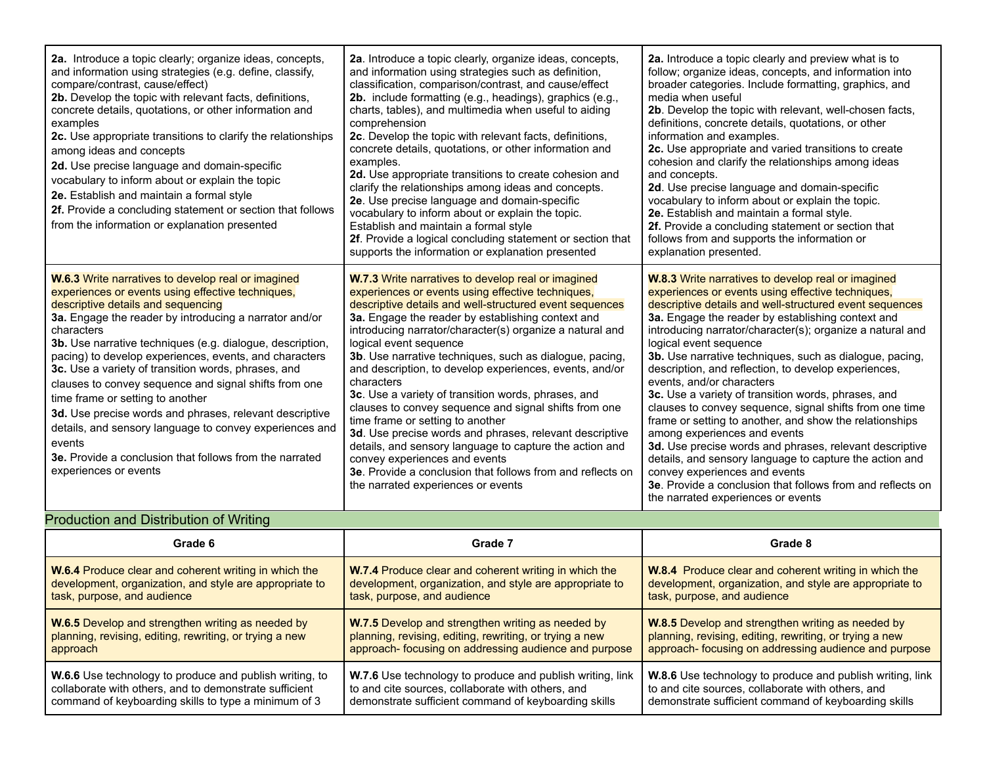| 2a. Introduce a topic clearly; organize ideas, concepts,<br>and information using strategies (e.g. define, classify,<br>compare/contrast, cause/effect)<br>2b. Develop the topic with relevant facts, definitions,<br>concrete details, quotations, or other information and<br>examples<br>2c. Use appropriate transitions to clarify the relationships<br>among ideas and concepts<br>2d. Use precise language and domain-specific<br>vocabulary to inform about or explain the topic<br>2e. Establish and maintain a formal style<br>2f. Provide a concluding statement or section that follows<br>from the information or explanation presented                                                                         | 2a. Introduce a topic clearly, organize ideas, concepts,<br>and information using strategies such as definition,<br>classification, comparison/contrast, and cause/effect<br>2b. include formatting (e.g., headings), graphics (e.g.,<br>charts, tables), and multimedia when useful to aiding<br>comprehension<br>2c. Develop the topic with relevant facts, definitions,<br>concrete details, quotations, or other information and<br>examples.<br>2d. Use appropriate transitions to create cohesion and<br>clarify the relationships among ideas and concepts.<br>2e. Use precise language and domain-specific<br>vocabulary to inform about or explain the topic.<br>Establish and maintain a formal style<br>2f. Provide a logical concluding statement or section that<br>supports the information or explanation presented                                      | 2a. Introduce a topic clearly and preview what is to<br>follow; organize ideas, concepts, and information into<br>broader categories. Include formatting, graphics, and<br>media when useful<br>2b. Develop the topic with relevant, well-chosen facts,<br>definitions, concrete details, quotations, or other<br>information and examples.<br>2c. Use appropriate and varied transitions to create<br>cohesion and clarify the relationships among ideas<br>and concepts.<br>2d. Use precise language and domain-specific<br>vocabulary to inform about or explain the topic.<br>2e. Establish and maintain a formal style.<br>2f. Provide a concluding statement or section that<br>follows from and supports the information or<br>explanation presented.                                                                                                                                                                                  |
|-----------------------------------------------------------------------------------------------------------------------------------------------------------------------------------------------------------------------------------------------------------------------------------------------------------------------------------------------------------------------------------------------------------------------------------------------------------------------------------------------------------------------------------------------------------------------------------------------------------------------------------------------------------------------------------------------------------------------------|-------------------------------------------------------------------------------------------------------------------------------------------------------------------------------------------------------------------------------------------------------------------------------------------------------------------------------------------------------------------------------------------------------------------------------------------------------------------------------------------------------------------------------------------------------------------------------------------------------------------------------------------------------------------------------------------------------------------------------------------------------------------------------------------------------------------------------------------------------------------------|-----------------------------------------------------------------------------------------------------------------------------------------------------------------------------------------------------------------------------------------------------------------------------------------------------------------------------------------------------------------------------------------------------------------------------------------------------------------------------------------------------------------------------------------------------------------------------------------------------------------------------------------------------------------------------------------------------------------------------------------------------------------------------------------------------------------------------------------------------------------------------------------------------------------------------------------------|
| W.6.3 Write narratives to develop real or imagined<br>experiences or events using effective techniques,<br>descriptive details and sequencing<br>3a. Engage the reader by introducing a narrator and/or<br>characters<br>3b. Use narrative techniques (e.g. dialogue, description,<br>pacing) to develop experiences, events, and characters<br>3c. Use a variety of transition words, phrases, and<br>clauses to convey sequence and signal shifts from one<br>time frame or setting to another<br>3d. Use precise words and phrases, relevant descriptive<br>details, and sensory language to convey experiences and<br>events<br><b>3e.</b> Provide a conclusion that follows from the narrated<br>experiences or events | <b>W.7.3</b> Write narratives to develop real or imagined<br>experiences or events using effective techniques,<br>descriptive details and well-structured event sequences<br>3a. Engage the reader by establishing context and<br>introducing narrator/character(s) organize a natural and<br>logical event sequence<br>3b. Use narrative techniques, such as dialogue, pacing,<br>and description, to develop experiences, events, and/or<br>characters<br>3c. Use a variety of transition words, phrases, and<br>clauses to convey sequence and signal shifts from one<br>time frame or setting to another<br>3d. Use precise words and phrases, relevant descriptive<br>details, and sensory language to capture the action and<br>convey experiences and events<br>3e. Provide a conclusion that follows from and reflects on<br>the narrated experiences or events | <b>W.8.3</b> Write narratives to develop real or imagined<br>experiences or events using effective techniques,<br>descriptive details and well-structured event sequences<br>3a. Engage the reader by establishing context and<br>introducing narrator/character(s); organize a natural and<br>logical event sequence<br>3b. Use narrative techniques, such as dialogue, pacing,<br>description, and reflection, to develop experiences,<br>events, and/or characters<br>3c. Use a variety of transition words, phrases, and<br>clauses to convey sequence, signal shifts from one time<br>frame or setting to another, and show the relationships<br>among experiences and events<br>3d. Use precise words and phrases, relevant descriptive<br>details, and sensory language to capture the action and<br>convey experiences and events<br>3e. Provide a conclusion that follows from and reflects on<br>the narrated experiences or events |

### Production and Distribution of Writing

| Grade 6                                                      | Grade 7                                                      | Grade 8                                                      |
|--------------------------------------------------------------|--------------------------------------------------------------|--------------------------------------------------------------|
| <b>W.6.4</b> Produce clear and coherent writing in which the | <b>W.7.4</b> Produce clear and coherent writing in which the | <b>W.8.4</b> Produce clear and coherent writing in which the |
| development, organization, and style are appropriate to      | development, organization, and style are appropriate to      | development, organization, and style are appropriate to      |
| task, purpose, and audience                                  | task, purpose, and audience                                  | task, purpose, and audience                                  |
| <b>W.6.5</b> Develop and strengthen writing as needed by     | <b>W.7.5</b> Develop and strengthen writing as needed by     | <b>W.8.5</b> Develop and strengthen writing as needed by     |
| planning, revising, editing, rewriting, or trying a new      | planning, revising, editing, rewriting, or trying a new      | planning, revising, editing, rewriting, or trying a new      |
| approach                                                     | approach- focusing on addressing audience and purpose        | approach- focusing on addressing audience and purpose        |
| W.6.6 Use technology to produce and publish writing, to      | W.7.6 Use technology to produce and publish writing, link    | W.8.6 Use technology to produce and publish writing, link    |
| collaborate with others, and to demonstrate sufficient       | to and cite sources, collaborate with others, and            | to and cite sources, collaborate with others, and            |
| command of keyboarding skills to type a minimum of 3         | demonstrate sufficient command of keyboarding skills         | demonstrate sufficient command of keyboarding skills         |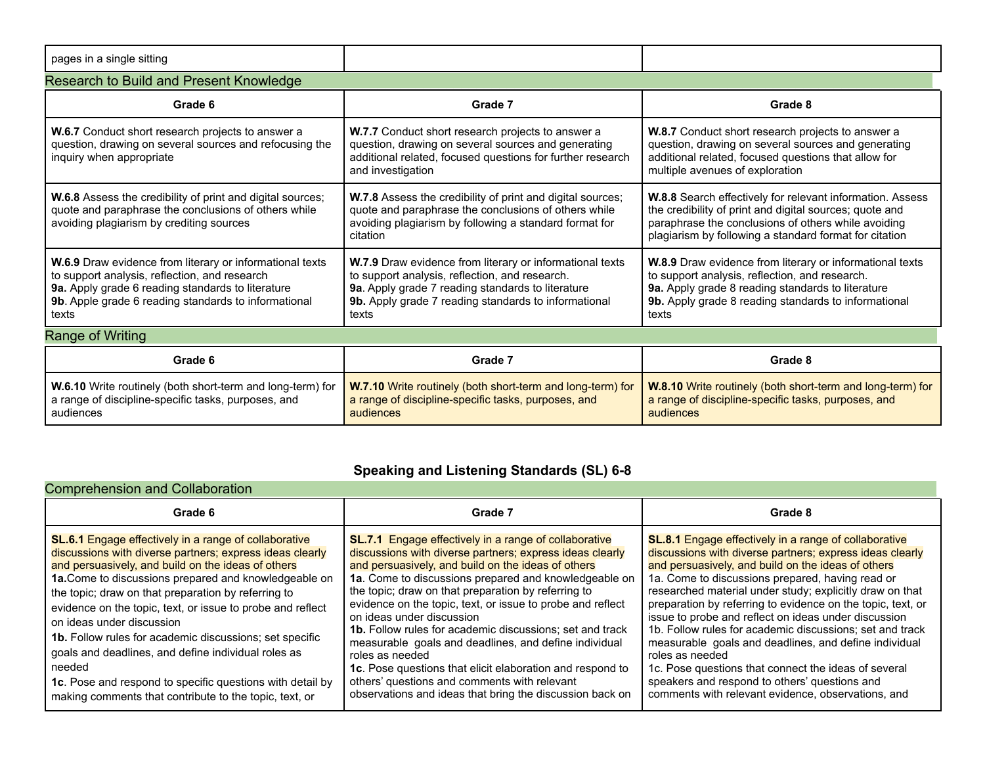| pages in a single sitting                                                                                                                                                                                                       |                                                                                                                                                                                                                                  |                                                                                                                                                                                                                                       |
|---------------------------------------------------------------------------------------------------------------------------------------------------------------------------------------------------------------------------------|----------------------------------------------------------------------------------------------------------------------------------------------------------------------------------------------------------------------------------|---------------------------------------------------------------------------------------------------------------------------------------------------------------------------------------------------------------------------------------|
| Research to Build and Present Knowledge                                                                                                                                                                                         |                                                                                                                                                                                                                                  |                                                                                                                                                                                                                                       |
| Grade 6                                                                                                                                                                                                                         | Grade 7                                                                                                                                                                                                                          | Grade 8                                                                                                                                                                                                                               |
| W.6.7 Conduct short research projects to answer a<br>question, drawing on several sources and refocusing the<br>inquiry when appropriate                                                                                        | W.7.7 Conduct short research projects to answer a<br>question, drawing on several sources and generating<br>additional related, focused questions for further research<br>and investigation                                      | W.8.7 Conduct short research projects to answer a<br>question, drawing on several sources and generating<br>additional related, focused questions that allow for<br>multiple avenues of exploration                                   |
| W.6.8 Assess the credibility of print and digital sources;<br>quote and paraphrase the conclusions of others while<br>avoiding plagiarism by crediting sources                                                                  | W.7.8 Assess the credibility of print and digital sources;<br>quote and paraphrase the conclusions of others while<br>avoiding plagiarism by following a standard format for<br>citation                                         | W.8.8 Search effectively for relevant information. Assess<br>the credibility of print and digital sources; quote and<br>paraphrase the conclusions of others while avoiding<br>plagiarism by following a standard format for citation |
| W.6.9 Draw evidence from literary or informational texts<br>to support analysis, reflection, and research<br>9a. Apply grade 6 reading standards to literature<br>9b. Apple grade 6 reading standards to informational<br>texts | W.7.9 Draw evidence from literary or informational texts<br>to support analysis, reflection, and research.<br>9a. Apply grade 7 reading standards to literature<br>9b. Apply grade 7 reading standards to informational<br>texts | W.8.9 Draw evidence from literary or informational texts<br>to support analysis, reflection, and research.<br>9a. Apply grade 8 reading standards to literature<br>9b. Apply grade 8 reading standards to informational<br>texts      |
| Range of Writing                                                                                                                                                                                                                |                                                                                                                                                                                                                                  |                                                                                                                                                                                                                                       |
| Grade 6                                                                                                                                                                                                                         | Grade 7                                                                                                                                                                                                                          | Grade 8                                                                                                                                                                                                                               |
| W.6.10 Write routinely (both short-term and long-term) for<br>a range of discipline-specific tasks, purposes, and<br>audiences                                                                                                  | W.7.10 Write routinely (both short-term and long-term) for<br>a range of discipline-specific tasks, purposes, and<br>audiences                                                                                                   | W.8.10 Write routinely (both short-term and long-term) for<br>a range of discipline-specific tasks, purposes, and<br>audiences                                                                                                        |

### **Speaking and Listening Standards (SL) 6-8**

|  |  |  | <b>Comprehension and Collaboration</b> |
|--|--|--|----------------------------------------|

| <b>Comprehension and Collaboration</b>                                                                                                                                                                                                                                                                                                                                                                                                                                                                                                                                                                                                              |                                                                                                                                                                                                                                                                                                                                                                                                                                                                                                                                                                                                                                                                                                                   |                                                                                                                                                                                                                                                                                                                                                                                                                                                                                                                                                                                                                                                                                                                              |
|-----------------------------------------------------------------------------------------------------------------------------------------------------------------------------------------------------------------------------------------------------------------------------------------------------------------------------------------------------------------------------------------------------------------------------------------------------------------------------------------------------------------------------------------------------------------------------------------------------------------------------------------------------|-------------------------------------------------------------------------------------------------------------------------------------------------------------------------------------------------------------------------------------------------------------------------------------------------------------------------------------------------------------------------------------------------------------------------------------------------------------------------------------------------------------------------------------------------------------------------------------------------------------------------------------------------------------------------------------------------------------------|------------------------------------------------------------------------------------------------------------------------------------------------------------------------------------------------------------------------------------------------------------------------------------------------------------------------------------------------------------------------------------------------------------------------------------------------------------------------------------------------------------------------------------------------------------------------------------------------------------------------------------------------------------------------------------------------------------------------------|
| Grade 6                                                                                                                                                                                                                                                                                                                                                                                                                                                                                                                                                                                                                                             | Grade 7                                                                                                                                                                                                                                                                                                                                                                                                                                                                                                                                                                                                                                                                                                           | Grade 8                                                                                                                                                                                                                                                                                                                                                                                                                                                                                                                                                                                                                                                                                                                      |
| <b>SL.6.1</b> Engage effectively in a range of collaborative<br>discussions with diverse partners; express ideas clearly<br>and persuasively, and build on the ideas of others<br>1a. Come to discussions prepared and knowledgeable on<br>the topic; draw on that preparation by referring to<br>evidence on the topic, text, or issue to probe and reflect<br>on ideas under discussion<br><b>1b.</b> Follow rules for academic discussions; set specific<br>goals and deadlines, and define individual roles as<br>needed<br>1c. Pose and respond to specific questions with detail by<br>making comments that contribute to the topic, text, or | <b>SL.7.1</b> Engage effectively in a range of collaborative<br>discussions with diverse partners; express ideas clearly<br>and persuasively, and build on the ideas of others<br>1a. Come to discussions prepared and knowledgeable on<br>the topic; draw on that preparation by referring to<br>evidence on the topic, text, or issue to probe and reflect<br>on ideas under discussion<br><b>1b.</b> Follow rules for academic discussions: set and track<br>measurable goals and deadlines, and define individual<br>roles as needed<br>1c. Pose questions that elicit elaboration and respond to<br>others' questions and comments with relevant<br>observations and ideas that bring the discussion back on | <b>SL.8.1</b> Engage effectively in a range of collaborative<br>discussions with diverse partners; express ideas clearly<br>and persuasively, and build on the ideas of others<br>1a. Come to discussions prepared, having read or<br>researched material under study; explicitly draw on that<br>preparation by referring to evidence on the topic, text, or<br>issue to probe and reflect on ideas under discussion<br>1b. Follow rules for academic discussions; set and track<br>measurable goals and deadlines, and define individual<br>roles as needed<br>1c. Pose questions that connect the ideas of several<br>speakers and respond to others' questions and<br>comments with relevant evidence, observations, and |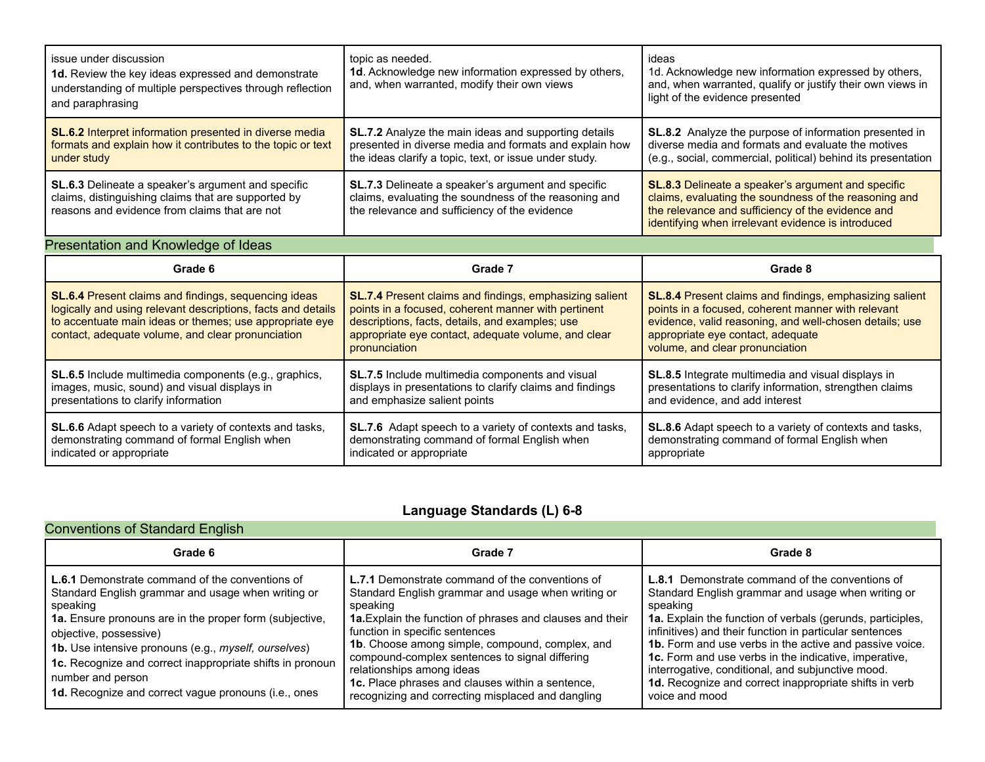| issue under discussion<br>1d. Review the key ideas expressed and demonstrate<br>understanding of multiple perspectives through reflection<br>and paraphrasing                                                                        | topic as needed.<br>1d. Acknowledge new information expressed by others,<br>and, when warranted, modify their own views                                                                                                                          | ideas<br>1d. Acknowledge new information expressed by others,<br>and, when warranted, qualify or justify their own views in<br>light of the evidence presented                                                                                   |
|--------------------------------------------------------------------------------------------------------------------------------------------------------------------------------------------------------------------------------------|--------------------------------------------------------------------------------------------------------------------------------------------------------------------------------------------------------------------------------------------------|--------------------------------------------------------------------------------------------------------------------------------------------------------------------------------------------------------------------------------------------------|
| <b>SL.6.2</b> Interpret information presented in diverse media<br>formats and explain how it contributes to the topic or text<br>under study                                                                                         | <b>SL.7.2</b> Analyze the main ideas and supporting details<br>presented in diverse media and formats and explain how<br>the ideas clarify a topic, text, or issue under study.                                                                  | <b>SL.8.2</b> Analyze the purpose of information presented in<br>diverse media and formats and evaluate the motives<br>(e.g., social, commercial, political) behind its presentation                                                             |
| <b>SL.6.3</b> Delineate a speaker's argument and specific<br>claims, distinguishing claims that are supported by<br>reasons and evidence from claims that are not                                                                    | SL.7.3 Delineate a speaker's argument and specific<br>claims, evaluating the soundness of the reasoning and<br>the relevance and sufficiency of the evidence                                                                                     | SL.8.3 Delineate a speaker's argument and specific<br>claims, evaluating the soundness of the reasoning and<br>the relevance and sufficiency of the evidence and<br>identifying when irrelevant evidence is introduced                           |
| Presentation and Knowledge of Ideas                                                                                                                                                                                                  |                                                                                                                                                                                                                                                  |                                                                                                                                                                                                                                                  |
|                                                                                                                                                                                                                                      |                                                                                                                                                                                                                                                  |                                                                                                                                                                                                                                                  |
| Grade 6                                                                                                                                                                                                                              | Grade 7                                                                                                                                                                                                                                          | Grade 8                                                                                                                                                                                                                                          |
| SL.6.4 Present claims and findings, sequencing ideas<br>logically and using relevant descriptions, facts and details<br>to accentuate main ideas or themes; use appropriate eye<br>contact, adequate volume, and clear pronunciation | <b>SL.7.4 Present claims and findings, emphasizing salient</b><br>points in a focused, coherent manner with pertinent<br>descriptions, facts, details, and examples; use<br>appropriate eye contact, adequate volume, and clear<br>pronunciation | SL.8.4 Present claims and findings, emphasizing salient<br>points in a focused, coherent manner with relevant<br>evidence, valid reasoning, and well-chosen details; use<br>appropriate eye contact, adequate<br>volume, and clear pronunciation |
| SL.6.5 Include multimedia components (e.g., graphics,<br>images, music, sound) and visual displays in<br>presentations to clarify information                                                                                        | SL.7.5 Include multimedia components and visual<br>displays in presentations to clarify claims and findings<br>and emphasize salient points                                                                                                      | SL.8.5 Integrate multimedia and visual displays in<br>presentations to clarify information, strengthen claims<br>and evidence, and add interest                                                                                                  |

### **Language Standards (L) 6-8**

### Conventions of Standard English

| Grade 6                                                                                                                                                                                                                                                                                                                                                                                                                        | Grade 7                                                                                                                                                                                                                                                                                                                                                                                                                                                            | Grade 8                                                                                                                                                                                                                                                                                                                                                                                                                                                                                                              |
|--------------------------------------------------------------------------------------------------------------------------------------------------------------------------------------------------------------------------------------------------------------------------------------------------------------------------------------------------------------------------------------------------------------------------------|--------------------------------------------------------------------------------------------------------------------------------------------------------------------------------------------------------------------------------------------------------------------------------------------------------------------------------------------------------------------------------------------------------------------------------------------------------------------|----------------------------------------------------------------------------------------------------------------------------------------------------------------------------------------------------------------------------------------------------------------------------------------------------------------------------------------------------------------------------------------------------------------------------------------------------------------------------------------------------------------------|
| <b>L.6.1</b> Demonstrate command of the conventions of<br>Standard English grammar and usage when writing or<br>speaking<br>1a. Ensure pronouns are in the proper form (subjective,<br>objective, possessive)<br><b>1b.</b> Use intensive pronouns (e.g., <i>myself, ourselves</i> )<br>1c. Recognize and correct inappropriate shifts in pronoun<br>number and person<br>1d. Recognize and correct vague pronouns (i.e., ones | <b>L.7.1</b> Demonstrate command of the conventions of<br>Standard English grammar and usage when writing or<br>speaking<br>1a. Explain the function of phrases and clauses and their<br>function in specific sentences<br>1b. Choose among simple, compound, complex, and<br>compound-complex sentences to signal differing<br>relationships among ideas<br>1c. Place phrases and clauses within a sentence,<br>recognizing and correcting misplaced and dangling | <b>L.8.1</b> Demonstrate command of the conventions of<br>Standard English grammar and usage when writing or<br>speaking<br>1a. Explain the function of verbals (gerunds, participles,<br>infinitives) and their function in particular sentences<br>1b. Form and use verbs in the active and passive voice.<br><b>1c.</b> Form and use verbs in the indicative, imperative,<br>interrogative, conditional, and subjunctive mood.<br><b>1d.</b> Recognize and correct inappropriate shifts in verb<br>voice and mood |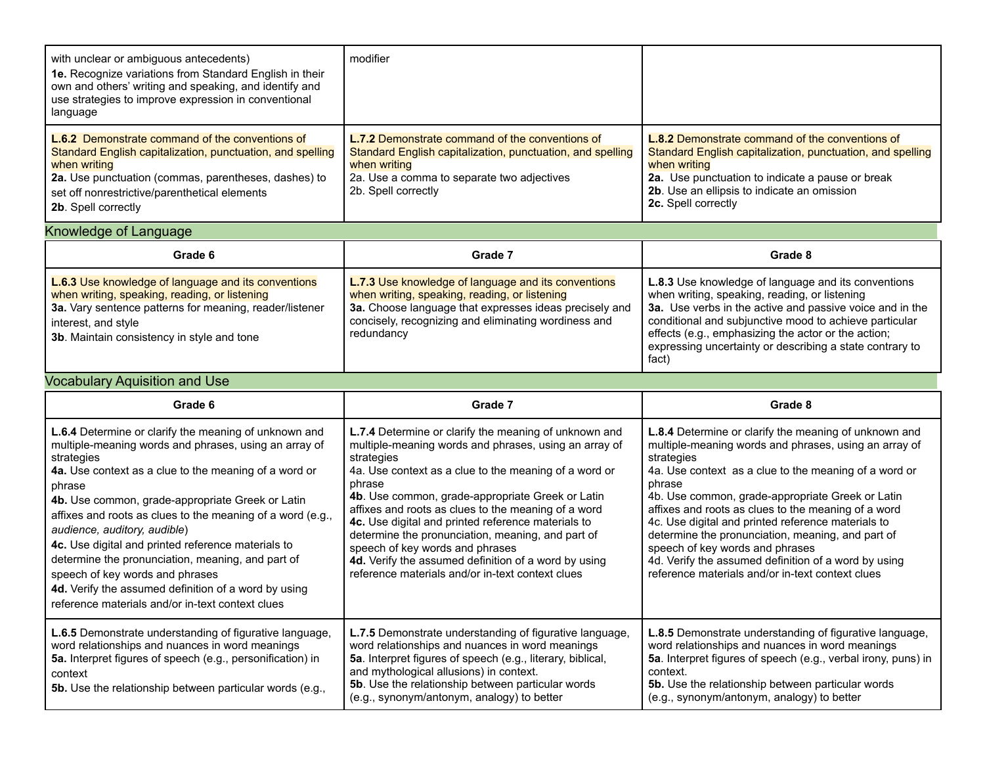| with unclear or ambiguous antecedents)<br><b>1e.</b> Recognize variations from Standard English in their<br>own and others' writing and speaking, and identify and<br>use strategies to improve expression in conventional<br>language                               | modifier                                                                                                                                                                                                  |                                                                                                                                                                                                                                                                |
|----------------------------------------------------------------------------------------------------------------------------------------------------------------------------------------------------------------------------------------------------------------------|-----------------------------------------------------------------------------------------------------------------------------------------------------------------------------------------------------------|----------------------------------------------------------------------------------------------------------------------------------------------------------------------------------------------------------------------------------------------------------------|
| <b>L.6.2</b> Demonstrate command of the conventions of<br>Standard English capitalization, punctuation, and spelling<br>when writing<br>2a. Use punctuation (commas, parentheses, dashes) to<br>set off nonrestrictive/parenthetical elements<br>2b. Spell correctly | <b>L.7.2</b> Demonstrate command of the conventions of<br>Standard English capitalization, punctuation, and spelling<br>when writing<br>2a. Use a comma to separate two adjectives<br>2b. Spell correctly | <b>L.8.2</b> Demonstrate command of the conventions of<br>Standard English capitalization, punctuation, and spelling<br>when writing<br>2a. Use punctuation to indicate a pause or break<br>2b. Use an ellipsis to indicate an omission<br>2c. Spell correctly |

## Knowledge of Language\_\_\_\_\_\_\_\_\_\_\_\_\_\_\_\_\_\_\_\_\_\_\_\_\_\_\_\_\_\_\_\_\_\_\_\_\_\_\_\_\_\_\_\_\_\_\_\_\_\_\_\_\_\_\_\_\_\_\_\_\_\_\_\_\_\_\_\_\_\_\_\_\_\_\_\_\_\_\_\_\_\_\_\_\_\_\_\_\_\_\_\_\_\_\_\_\_\_

| Grade 6                                                                                                                                                                                                                                            | Grade 7                                                                                                                                                                                                                                     | Grade 8                                                                                                                                                                                                                                                                                                                                                       |
|----------------------------------------------------------------------------------------------------------------------------------------------------------------------------------------------------------------------------------------------------|---------------------------------------------------------------------------------------------------------------------------------------------------------------------------------------------------------------------------------------------|---------------------------------------------------------------------------------------------------------------------------------------------------------------------------------------------------------------------------------------------------------------------------------------------------------------------------------------------------------------|
| <b>L.6.3 Use knowledge of language and its conventions</b><br>when writing, speaking, reading, or listening<br>3a. Vary sentence patterns for meaning, reader/listener<br>interest, and style<br><b>3b.</b> Maintain consistency in style and tone | <b>L.7.3 Use knowledge of language and its conventions</b><br>when writing, speaking, reading, or listening<br>3a. Choose language that expresses ideas precisely and<br>concisely, recognizing and eliminating wordiness and<br>redundancy | <b>L.8.3</b> Use knowledge of language and its conventions<br>when writing, speaking, reading, or listening<br>3a. Use verbs in the active and passive voice and in the<br>conditional and subjunctive mood to achieve particular<br>effects (e.g., emphasizing the actor or the action;<br>expressing uncertainty or describing a state contrary to<br>fact) |

### Vocabulary Aquisition and Use\_\_\_\_\_\_\_\_\_\_\_\_\_\_\_\_\_\_\_\_\_\_\_\_\_\_\_\_\_\_\_\_\_\_\_\_\_\_\_\_\_\_\_\_\_\_\_\_\_\_\_\_\_\_\_\_\_\_\_\_\_\_\_\_\_\_\_\_\_\_\_\_\_\_\_\_\_\_\_\_\_\_\_\_\_\_\_\_\_\_\_\_\_

| Grade 6                                                                                                                                                                                                                                                                                                                                                                                                                                                                                                                                                                                                            | Grade 7                                                                                                                                                                                                                                                                                                                                                                                                                                                                                                                                                                     | Grade 8                                                                                                                                                                                                                                                                                                                                                                                                                                                                                                                                                                     |
|--------------------------------------------------------------------------------------------------------------------------------------------------------------------------------------------------------------------------------------------------------------------------------------------------------------------------------------------------------------------------------------------------------------------------------------------------------------------------------------------------------------------------------------------------------------------------------------------------------------------|-----------------------------------------------------------------------------------------------------------------------------------------------------------------------------------------------------------------------------------------------------------------------------------------------------------------------------------------------------------------------------------------------------------------------------------------------------------------------------------------------------------------------------------------------------------------------------|-----------------------------------------------------------------------------------------------------------------------------------------------------------------------------------------------------------------------------------------------------------------------------------------------------------------------------------------------------------------------------------------------------------------------------------------------------------------------------------------------------------------------------------------------------------------------------|
| <b>L.6.4</b> Determine or clarify the meaning of unknown and<br>multiple-meaning words and phrases, using an array of<br>strategies<br>4a. Use context as a clue to the meaning of a word or<br>phrase<br>4b. Use common, grade-appropriate Greek or Latin<br>affixes and roots as clues to the meaning of a word (e.g.,<br>audience, auditory, audible)<br>4c. Use digital and printed reference materials to<br>determine the pronunciation, meaning, and part of<br>speech of key words and phrases<br>4d. Verify the assumed definition of a word by using<br>reference materials and/or in-text context clues | <b>L.7.4</b> Determine or clarify the meaning of unknown and<br>multiple-meaning words and phrases, using an array of<br>strategies<br>4a. Use context as a clue to the meaning of a word or<br>phrase<br>4b. Use common, grade-appropriate Greek or Latin<br>affixes and roots as clues to the meaning of a word<br>4c. Use digital and printed reference materials to<br>determine the pronunciation, meaning, and part of<br>speech of key words and phrases<br>4d. Verify the assumed definition of a word by using<br>reference materials and/or in-text context clues | <b>L.8.4</b> Determine or clarify the meaning of unknown and<br>multiple-meaning words and phrases, using an array of<br>strategies<br>4a. Use context as a clue to the meaning of a word or<br>phrase<br>4b. Use common, grade-appropriate Greek or Latin<br>affixes and roots as clues to the meaning of a word<br>4c. Use digital and printed reference materials to<br>determine the pronunciation, meaning, and part of<br>speech of key words and phrases<br>4d. Verify the assumed definition of a word by using<br>reference materials and/or in-text context clues |
| <b>L.6.5</b> Demonstrate understanding of figurative language,<br>word relationships and nuances in word meanings<br>5a. Interpret figures of speech (e.g., personification) in<br>context<br><b>5b.</b> Use the relationship between particular words (e.g.,                                                                                                                                                                                                                                                                                                                                                      | <b>L.7.5</b> Demonstrate understanding of figurative language,<br>word relationships and nuances in word meanings<br>5a. Interpret figures of speech (e.g., literary, biblical,<br>and mythological allusions) in context.<br>5b. Use the relationship between particular words<br>(e.g., synonym/antonym, analogy) to better                                                                                                                                                                                                                                               | <b>L.8.5</b> Demonstrate understanding of figurative language,<br>word relationships and nuances in word meanings<br>5a. Interpret figures of speech (e.g., verbal irony, puns) in<br>context.<br>5b. Use the relationship between particular words<br>(e.g., synonym/antonym, analogy) to better                                                                                                                                                                                                                                                                           |